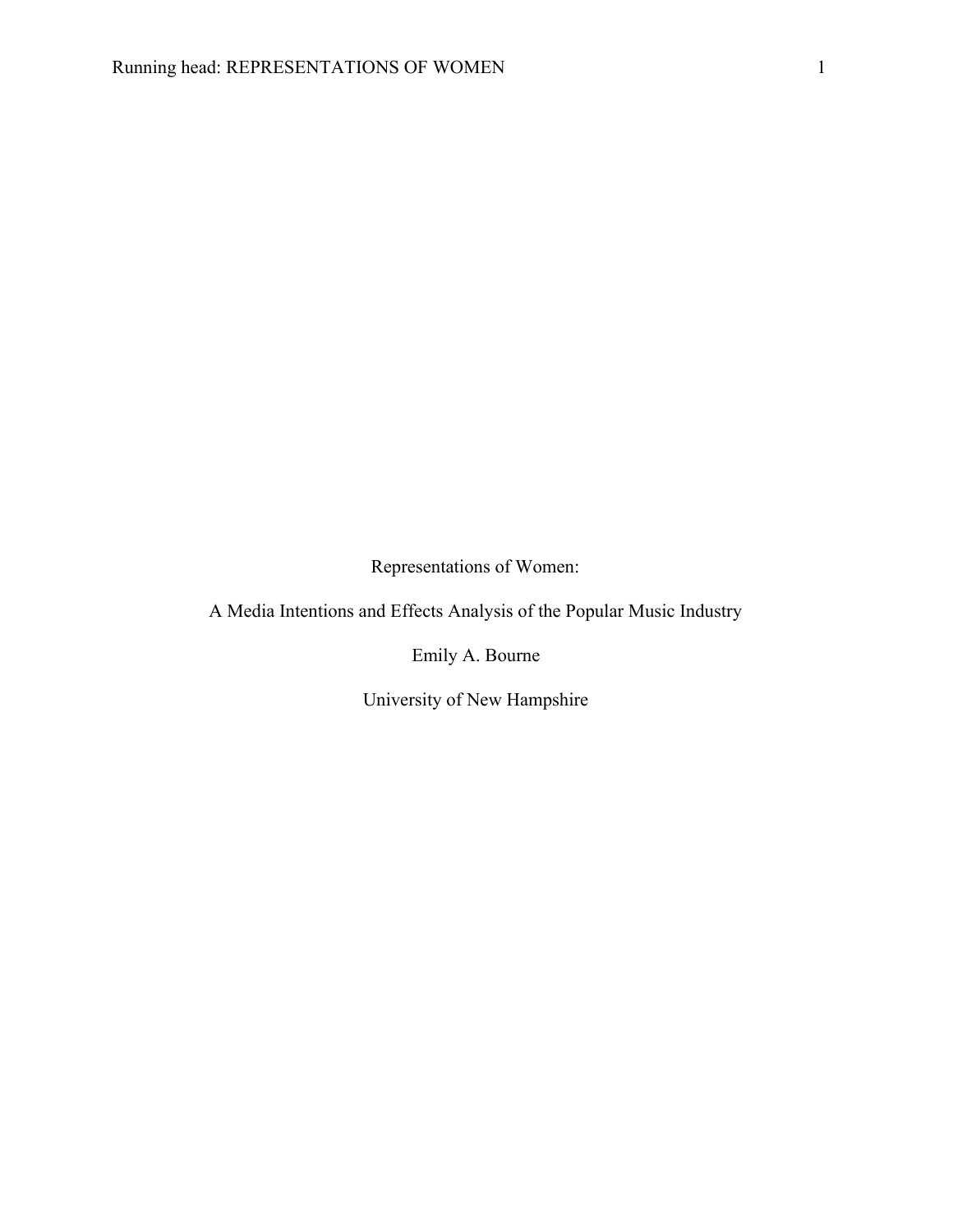Representations of Women:

A Media Intentions and Effects Analysis of the Popular Music Industry

Emily A. Bourne

University of New Hampshire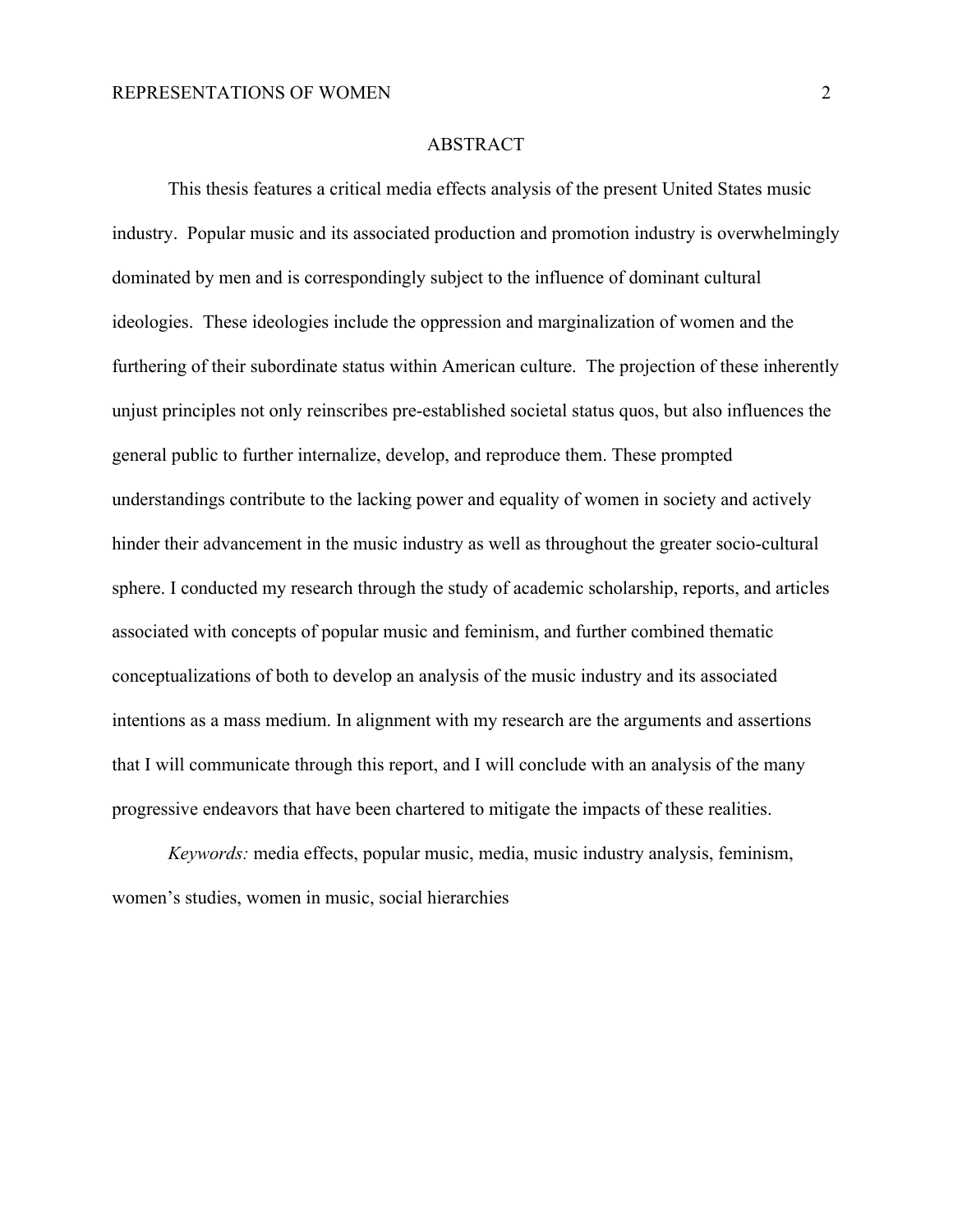#### ABSTRACT

This thesis features a critical media effects analysis of the present United States music industry. Popular music and its associated production and promotion industry is overwhelmingly dominated by men and is correspondingly subject to the influence of dominant cultural ideologies. These ideologies include the oppression and marginalization of women and the furthering of their subordinate status within American culture. The projection of these inherently unjust principles not only reinscribes pre-established societal status quos, but also influences the general public to further internalize, develop, and reproduce them. These prompted understandings contribute to the lacking power and equality of women in society and actively hinder their advancement in the music industry as well as throughout the greater socio-cultural sphere. I conducted my research through the study of academic scholarship, reports, and articles associated with concepts of popular music and feminism, and further combined thematic conceptualizations of both to develop an analysis of the music industry and its associated intentions as a mass medium. In alignment with my research are the arguments and assertions that I will communicate through this report, and I will conclude with an analysis of the many progressive endeavors that have been chartered to mitigate the impacts of these realities.

*Keywords:* media effects, popular music, media, music industry analysis, feminism, women's studies, women in music, social hierarchies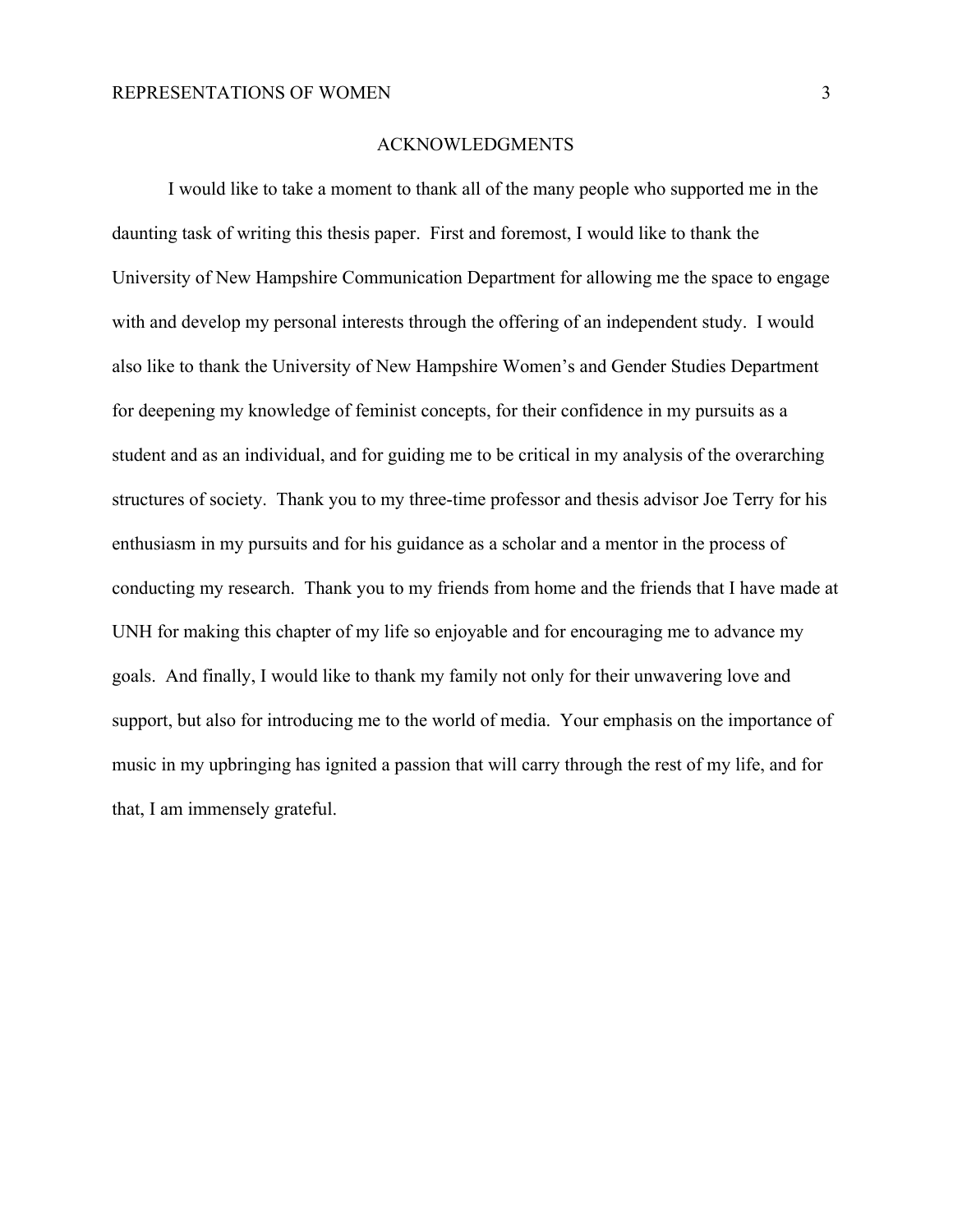#### ACKNOWLEDGMENTS

I would like to take a moment to thank all of the many people who supported me in the daunting task of writing this thesis paper. First and foremost, I would like to thank the University of New Hampshire Communication Department for allowing me the space to engage with and develop my personal interests through the offering of an independent study. I would also like to thank the University of New Hampshire Women's and Gender Studies Department for deepening my knowledge of feminist concepts, for their confidence in my pursuits as a student and as an individual, and for guiding me to be critical in my analysis of the overarching structures of society. Thank you to my three-time professor and thesis advisor Joe Terry for his enthusiasm in my pursuits and for his guidance as a scholar and a mentor in the process of conducting my research. Thank you to my friends from home and the friends that I have made at UNH for making this chapter of my life so enjoyable and for encouraging me to advance my goals. And finally, I would like to thank my family not only for their unwavering love and support, but also for introducing me to the world of media. Your emphasis on the importance of music in my upbringing has ignited a passion that will carry through the rest of my life, and for that, I am immensely grateful.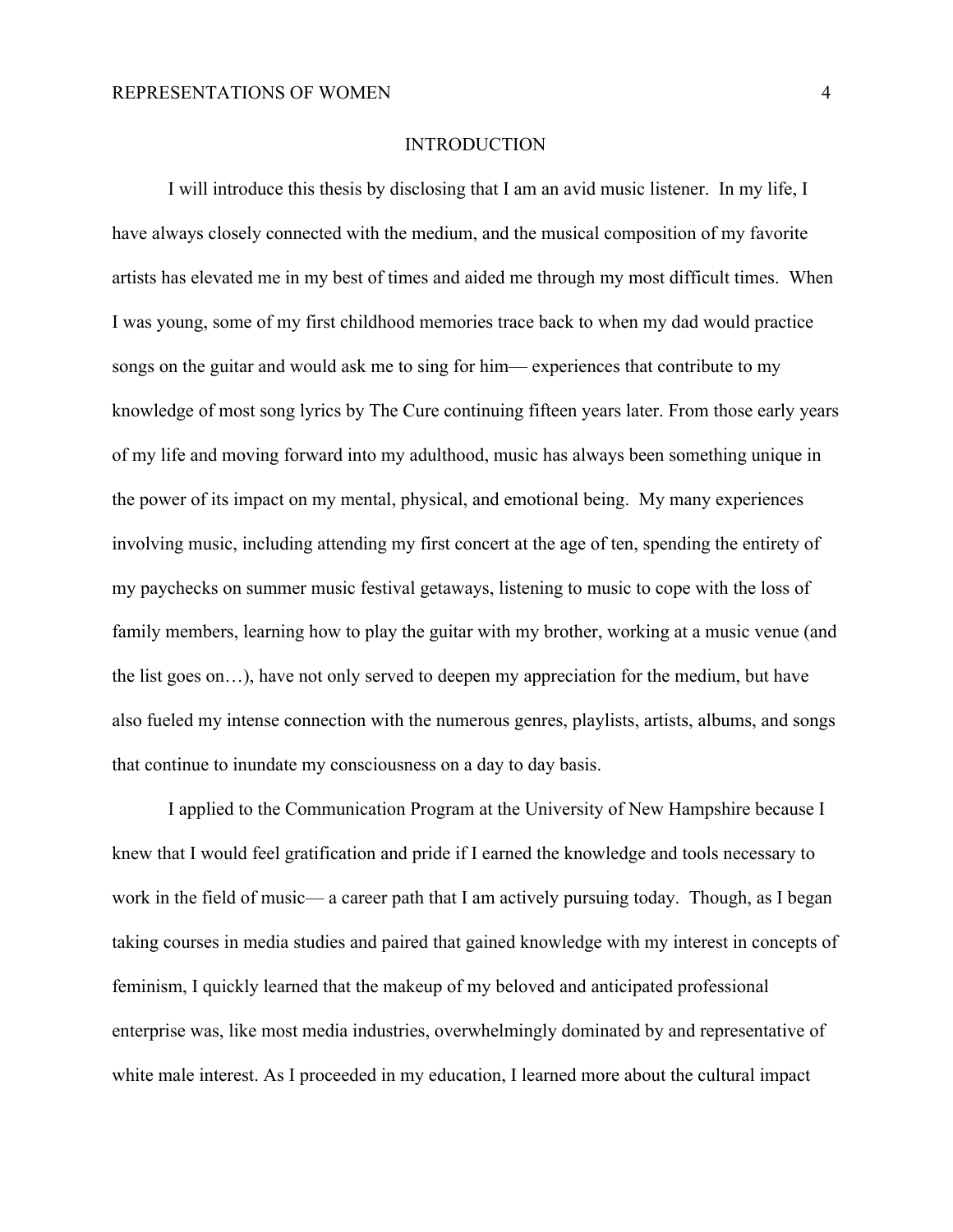#### **INTRODUCTION**

I will introduce this thesis by disclosing that I am an avid music listener. In my life, I have always closely connected with the medium, and the musical composition of my favorite artists has elevated me in my best of times and aided me through my most difficult times. When I was young, some of my first childhood memories trace back to when my dad would practice songs on the guitar and would ask me to sing for him— experiences that contribute to my knowledge of most song lyrics by The Cure continuing fifteen years later. From those early years of my life and moving forward into my adulthood, music has always been something unique in the power of its impact on my mental, physical, and emotional being. My many experiences involving music, including attending my first concert at the age of ten, spending the entirety of my paychecks on summer music festival getaways, listening to music to cope with the loss of family members, learning how to play the guitar with my brother, working at a music venue (and the list goes on…), have not only served to deepen my appreciation for the medium, but have also fueled my intense connection with the numerous genres, playlists, artists, albums, and songs that continue to inundate my consciousness on a day to day basis.

I applied to the Communication Program at the University of New Hampshire because I knew that I would feel gratification and pride if I earned the knowledge and tools necessary to work in the field of music— a career path that I am actively pursuing today. Though, as I began taking courses in media studies and paired that gained knowledge with my interest in concepts of feminism, I quickly learned that the makeup of my beloved and anticipated professional enterprise was, like most media industries, overwhelmingly dominated by and representative of white male interest. As I proceeded in my education, I learned more about the cultural impact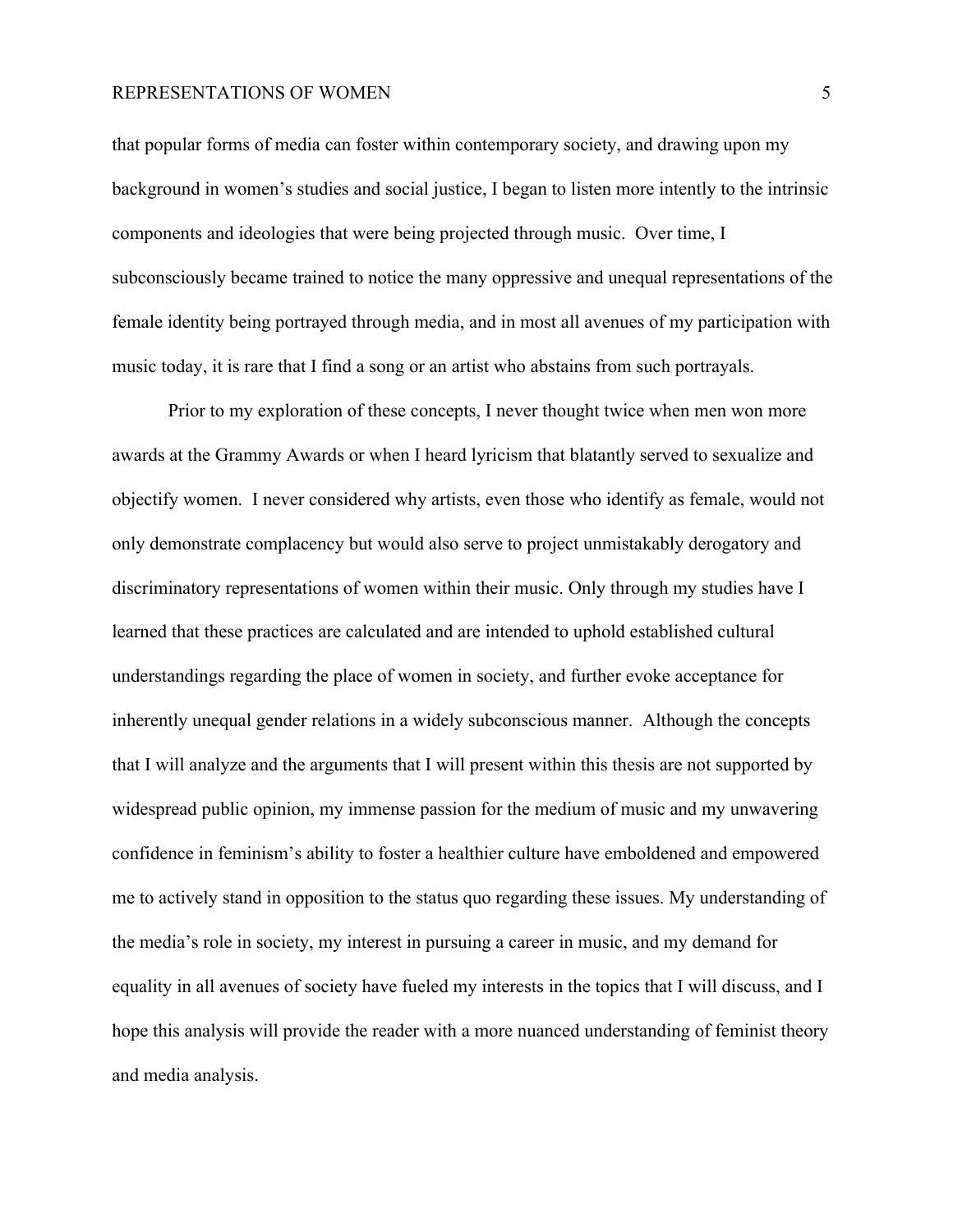that popular forms of media can foster within contemporary society, and drawing upon my background in women's studies and social justice, I began to listen more intently to the intrinsic components and ideologies that were being projected through music. Over time, I subconsciously became trained to notice the many oppressive and unequal representations of the female identity being portrayed through media, and in most all avenues of my participation with music today, it is rare that I find a song or an artist who abstains from such portrayals.

Prior to my exploration of these concepts, I never thought twice when men won more awards at the Grammy Awards or when I heard lyricism that blatantly served to sexualize and objectify women. I never considered why artists, even those who identify as female, would not only demonstrate complacency but would also serve to project unmistakably derogatory and discriminatory representations of women within their music. Only through my studies have I learned that these practices are calculated and are intended to uphold established cultural understandings regarding the place of women in society, and further evoke acceptance for inherently unequal gender relations in a widely subconscious manner. Although the concepts that I will analyze and the arguments that I will present within this thesis are not supported by widespread public opinion, my immense passion for the medium of music and my unwavering confidence in feminism's ability to foster a healthier culture have emboldened and empowered me to actively stand in opposition to the status quo regarding these issues. My understanding of the media's role in society, my interest in pursuing a career in music, and my demand for equality in all avenues of society have fueled my interests in the topics that I will discuss, and I hope this analysis will provide the reader with a more nuanced understanding of feminist theory and media analysis.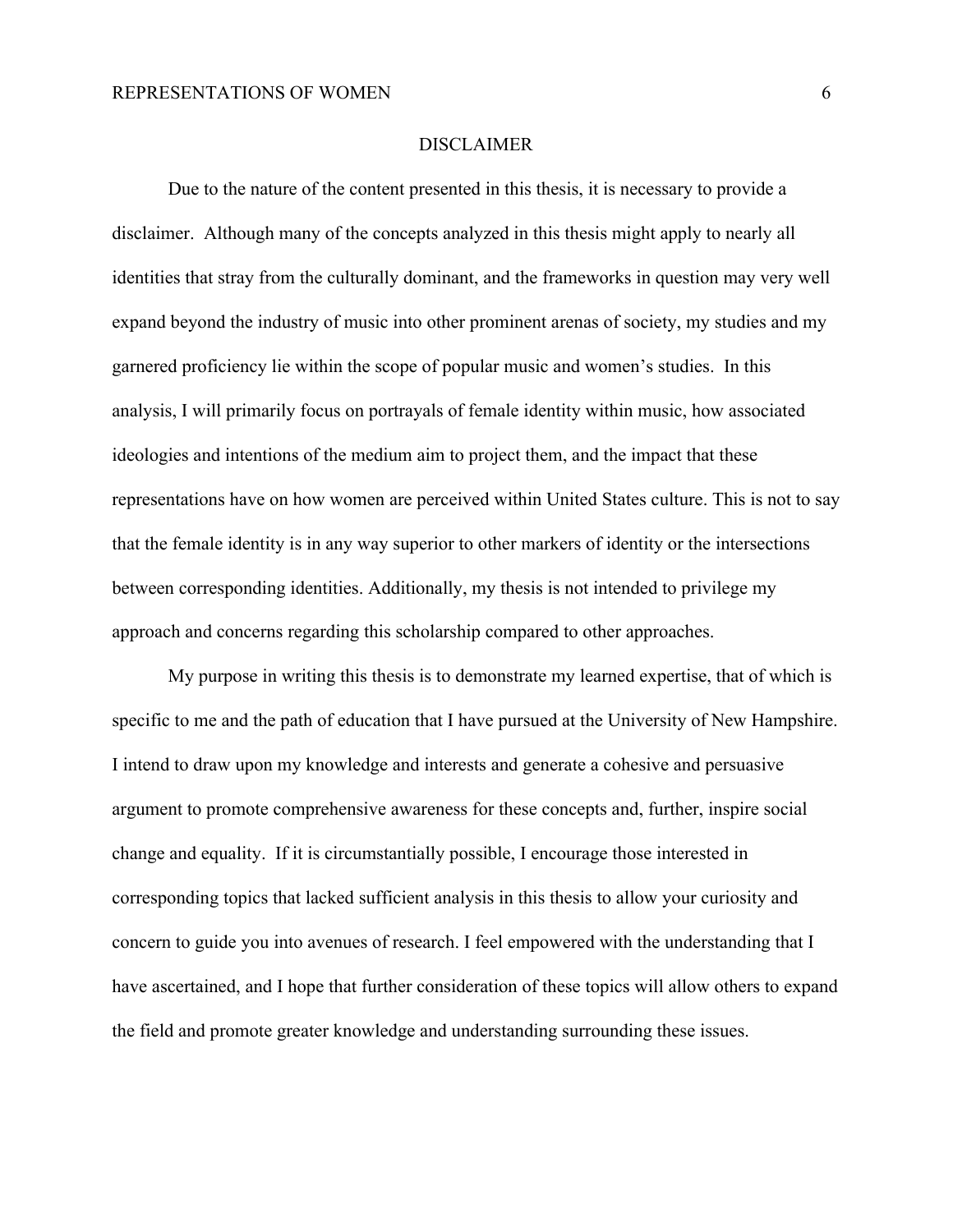#### DISCLAIMER

Due to the nature of the content presented in this thesis, it is necessary to provide a disclaimer. Although many of the concepts analyzed in this thesis might apply to nearly all identities that stray from the culturally dominant, and the frameworks in question may very well expand beyond the industry of music into other prominent arenas of society, my studies and my garnered proficiency lie within the scope of popular music and women's studies. In this analysis, I will primarily focus on portrayals of female identity within music, how associated ideologies and intentions of the medium aim to project them, and the impact that these representations have on how women are perceived within United States culture. This is not to say that the female identity is in any way superior to other markers of identity or the intersections between corresponding identities. Additionally, my thesis is not intended to privilege my approach and concerns regarding this scholarship compared to other approaches.

My purpose in writing this thesis is to demonstrate my learned expertise, that of which is specific to me and the path of education that I have pursued at the University of New Hampshire. I intend to draw upon my knowledge and interests and generate a cohesive and persuasive argument to promote comprehensive awareness for these concepts and, further, inspire social change and equality. If it is circumstantially possible, I encourage those interested in corresponding topics that lacked sufficient analysis in this thesis to allow your curiosity and concern to guide you into avenues of research. I feel empowered with the understanding that I have ascertained, and I hope that further consideration of these topics will allow others to expand the field and promote greater knowledge and understanding surrounding these issues.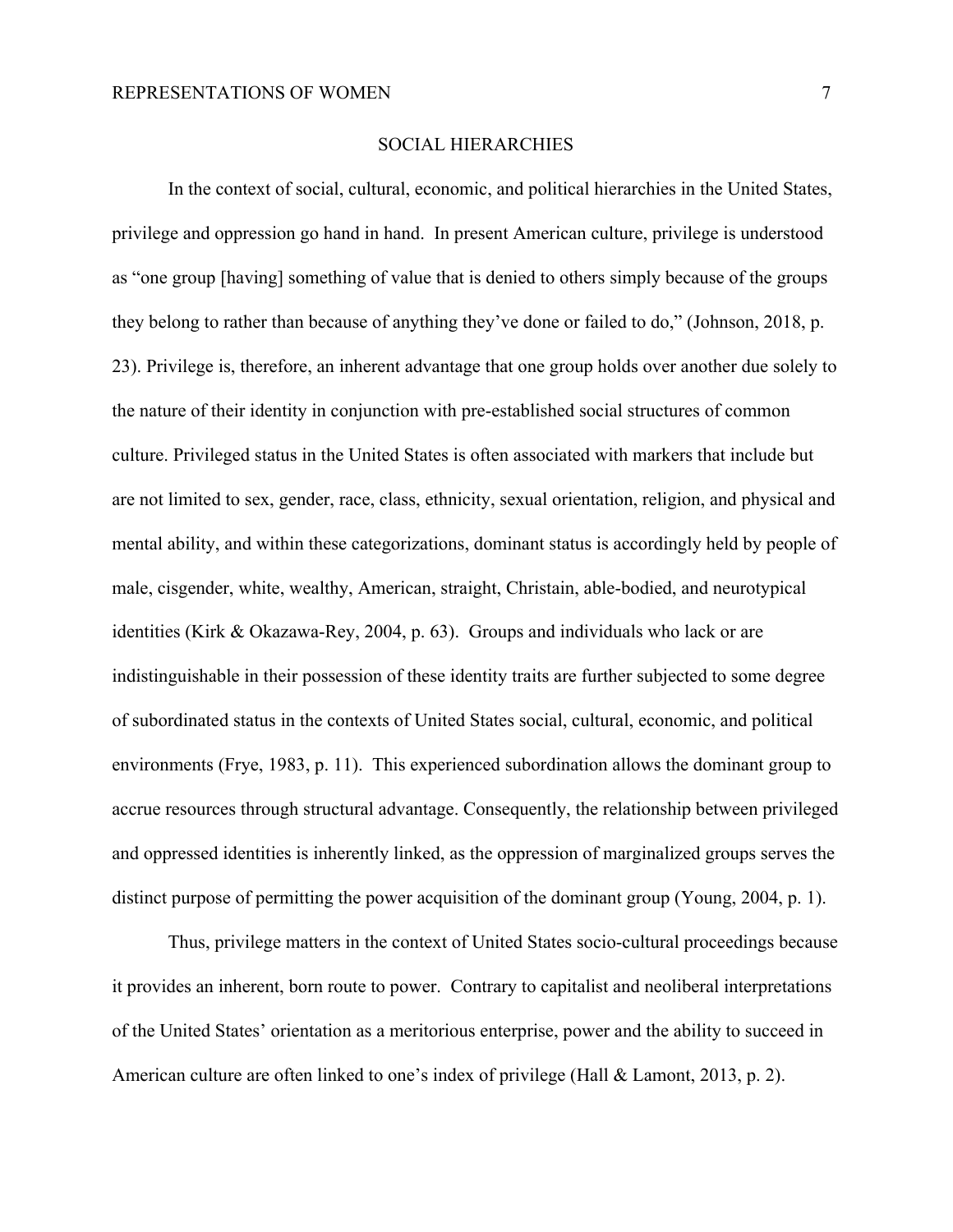#### SOCIAL HIERARCHIES

In the context of social, cultural, economic, and political hierarchies in the United States, privilege and oppression go hand in hand. In present American culture, privilege is understood as "one group [having] something of value that is denied to others simply because of the groups they belong to rather than because of anything they've done or failed to do," (Johnson, 2018, p. 23). Privilege is, therefore, an inherent advantage that one group holds over another due solely to the nature of their identity in conjunction with pre-established social structures of common culture. Privileged status in the United States is often associated with markers that include but are not limited to sex, gender, race, class, ethnicity, sexual orientation, religion, and physical and mental ability, and within these categorizations, dominant status is accordingly held by people of male, cisgender, white, wealthy, American, straight, Christain, able-bodied, and neurotypical identities (Kirk & Okazawa-Rey, 2004, p. 63). Groups and individuals who lack or are indistinguishable in their possession of these identity traits are further subjected to some degree of subordinated status in the contexts of United States social, cultural, economic, and political environments (Frye, 1983, p. 11). This experienced subordination allows the dominant group to accrue resources through structural advantage. Consequently, the relationship between privileged and oppressed identities is inherently linked, as the oppression of marginalized groups serves the distinct purpose of permitting the power acquisition of the dominant group (Young, 2004, p. 1).

Thus, privilege matters in the context of United States socio-cultural proceedings because it provides an inherent, born route to power. Contrary to capitalist and neoliberal interpretations of the United States' orientation as a meritorious enterprise, power and the ability to succeed in American culture are often linked to one's index of privilege (Hall & Lamont, 2013, p. 2).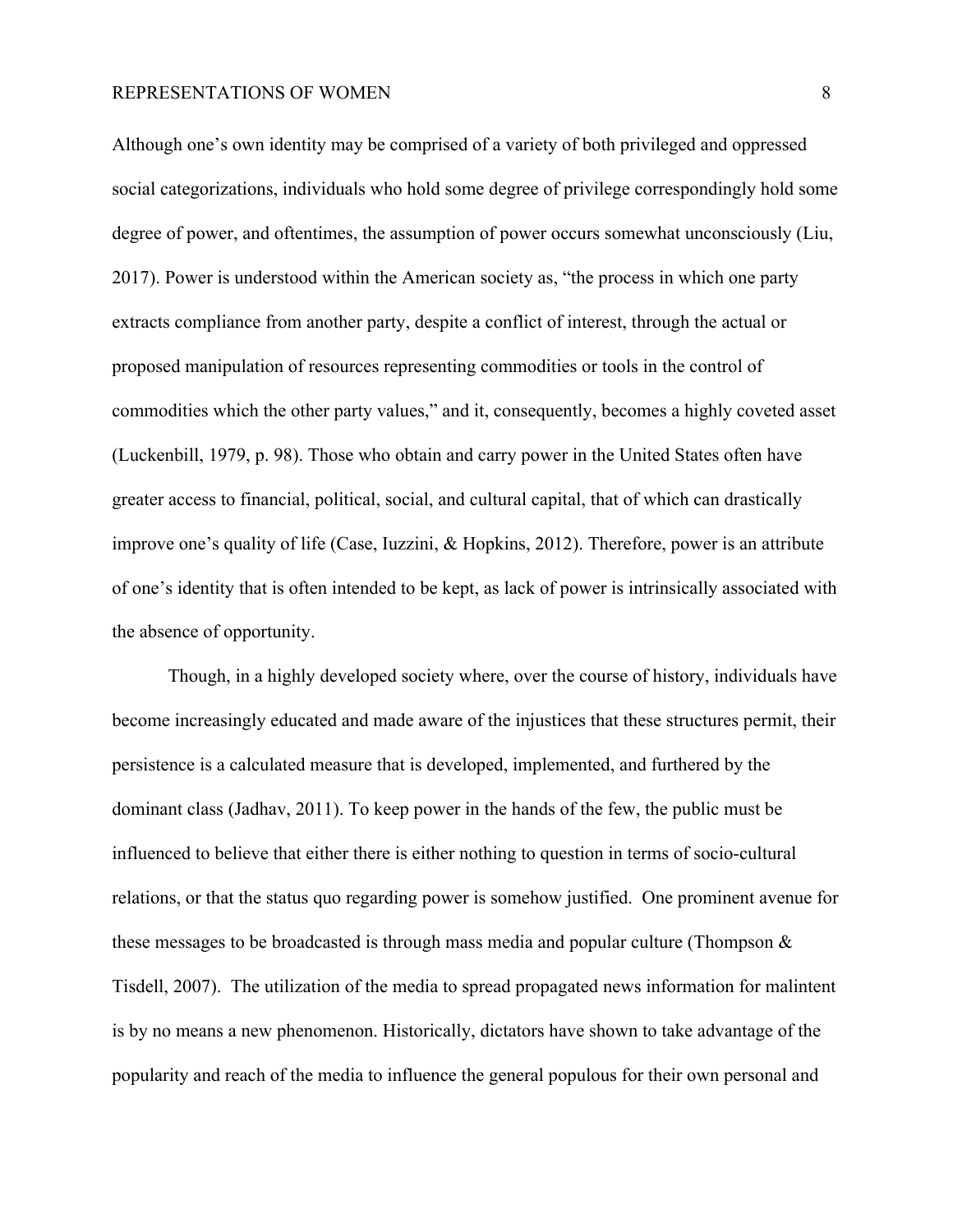Although one's own identity may be comprised of a variety of both privileged and oppressed social categorizations, individuals who hold some degree of privilege correspondingly hold some degree of power, and oftentimes, the assumption of power occurs somewhat unconsciously (Liu, 2017). Power is understood within the American society as, "the process in which one party extracts compliance from another party, despite a conflict of interest, through the actual or proposed manipulation of resources representing commodities or tools in the control of commodities which the other party values," and it, consequently, becomes a highly coveted asset (Luckenbill, 1979, p. 98). Those who obtain and carry power in the United States often have greater access to financial, political, social, and cultural capital, that of which can drastically improve one's quality of life (Case, Iuzzini, & Hopkins, 2012). Therefore, power is an attribute of one's identity that is often intended to be kept, as lack of power is intrinsically associated with the absence of opportunity.

Though, in a highly developed society where, over the course of history, individuals have become increasingly educated and made aware of the injustices that these structures permit, their persistence is a calculated measure that is developed, implemented, and furthered by the dominant class (Jadhav, 2011). To keep power in the hands of the few, the public must be influenced to believe that either there is either nothing to question in terms of socio-cultural relations, or that the status quo regarding power is somehow justified. One prominent avenue for these messages to be broadcasted is through mass media and popular culture (Thompson  $\&$ Tisdell, 2007). The utilization of the media to spread propagated news information for malintent is by no means a new phenomenon. Historically, dictators have shown to take advantage of the popularity and reach of the media to influence the general populous for their own personal and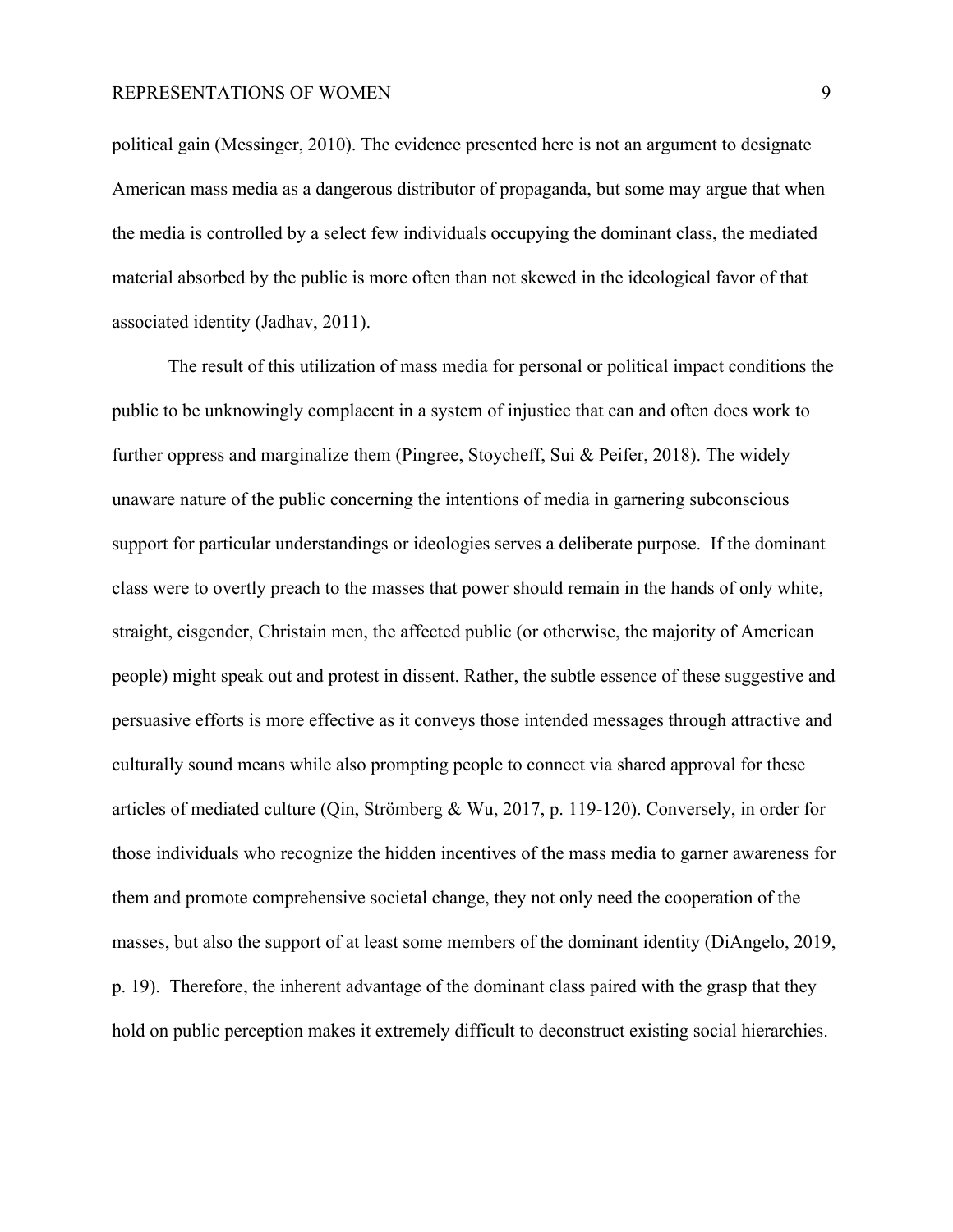political gain (Messinger, 2010). The evidence presented here is not an argument to designate American mass media as a dangerous distributor of propaganda, but some may argue that when the media is controlled by a select few individuals occupying the dominant class, the mediated material absorbed by the public is more often than not skewed in the ideological favor of that associated identity (Jadhav, 2011).

The result of this utilization of mass media for personal or political impact conditions the public to be unknowingly complacent in a system of injustice that can and often does work to further oppress and marginalize them (Pingree, Stoycheff, Sui & Peifer, 2018). The widely unaware nature of the public concerning the intentions of media in garnering subconscious support for particular understandings or ideologies serves a deliberate purpose. If the dominant class were to overtly preach to the masses that power should remain in the hands of only white, straight, cisgender, Christain men, the affected public (or otherwise, the majority of American people) might speak out and protest in dissent. Rather, the subtle essence of these suggestive and persuasive efforts is more effective as it conveys those intended messages through attractive and culturally sound means while also prompting people to connect via shared approval for these articles of mediated culture (Qin, Strömberg & Wu, 2017, p. 119-120). Conversely, in order for those individuals who recognize the hidden incentives of the mass media to garner awareness for them and promote comprehensive societal change, they not only need the cooperation of the masses, but also the support of at least some members of the dominant identity (DiAngelo, 2019, p. 19). Therefore, the inherent advantage of the dominant class paired with the grasp that they hold on public perception makes it extremely difficult to deconstruct existing social hierarchies.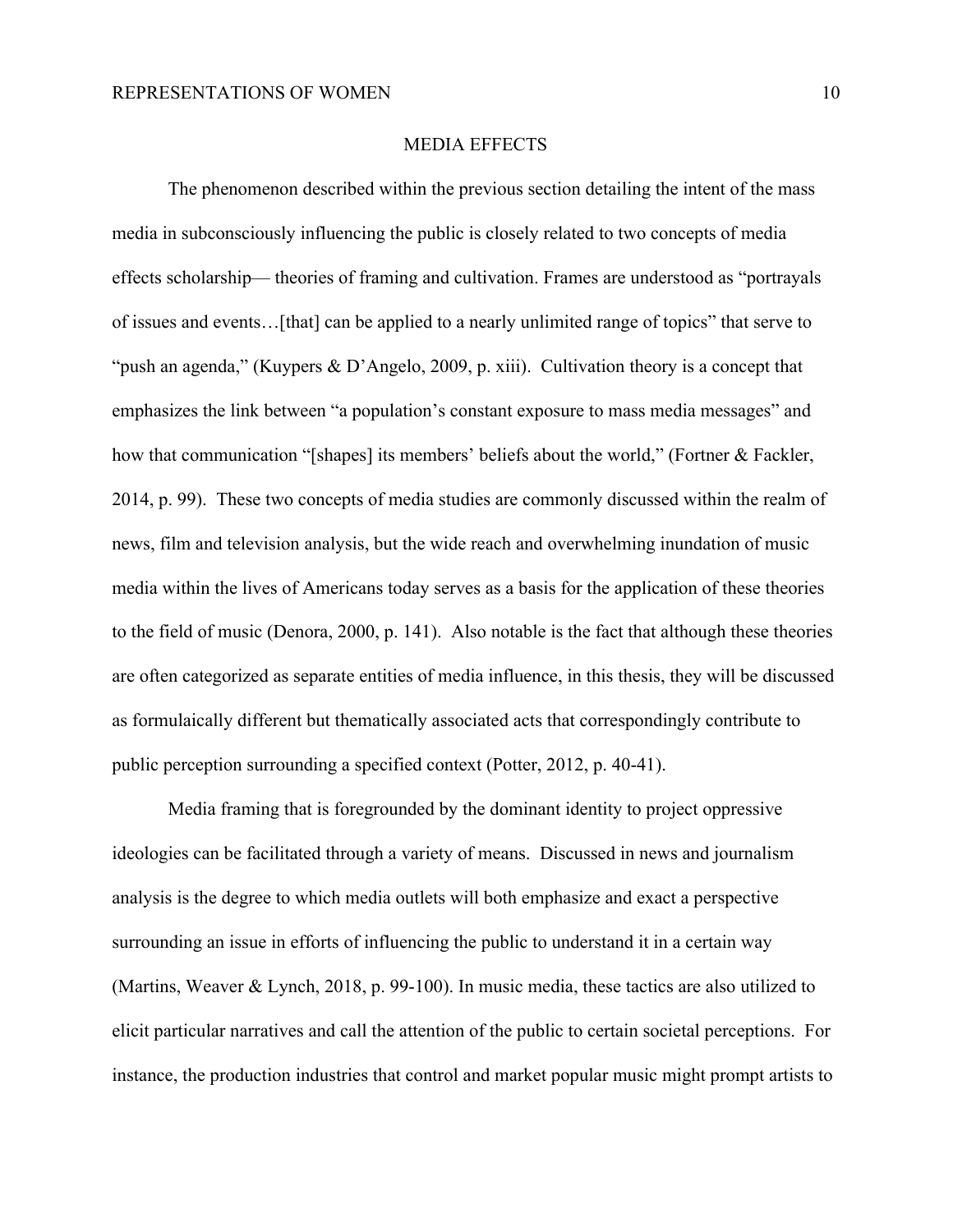#### MEDIA EFFECTS

The phenomenon described within the previous section detailing the intent of the mass media in subconsciously influencing the public is closely related to two concepts of media effects scholarship— theories of framing and cultivation. Frames are understood as "portrayals of issues and events…[that] can be applied to a nearly unlimited range of topics" that serve to "push an agenda," (Kuypers & D'Angelo, 2009, p. xiii). Cultivation theory is a concept that emphasizes the link between "a population's constant exposure to mass media messages" and how that communication "[shapes] its members' beliefs about the world," (Fortner & Fackler, 2014, p. 99). These two concepts of media studies are commonly discussed within the realm of news, film and television analysis, but the wide reach and overwhelming inundation of music media within the lives of Americans today serves as a basis for the application of these theories to the field of music (Denora, 2000, p. 141). Also notable is the fact that although these theories are often categorized as separate entities of media influence, in this thesis, they will be discussed as formulaically different but thematically associated acts that correspondingly contribute to public perception surrounding a specified context (Potter, 2012, p. 40-41).

Media framing that is foregrounded by the dominant identity to project oppressive ideologies can be facilitated through a variety of means. Discussed in news and journalism analysis is the degree to which media outlets will both emphasize and exact a perspective surrounding an issue in efforts of influencing the public to understand it in a certain way (Martins, Weaver & Lynch, 2018, p. 99-100). In music media, these tactics are also utilized to elicit particular narratives and call the attention of the public to certain societal perceptions. For instance, the production industries that control and market popular music might prompt artists to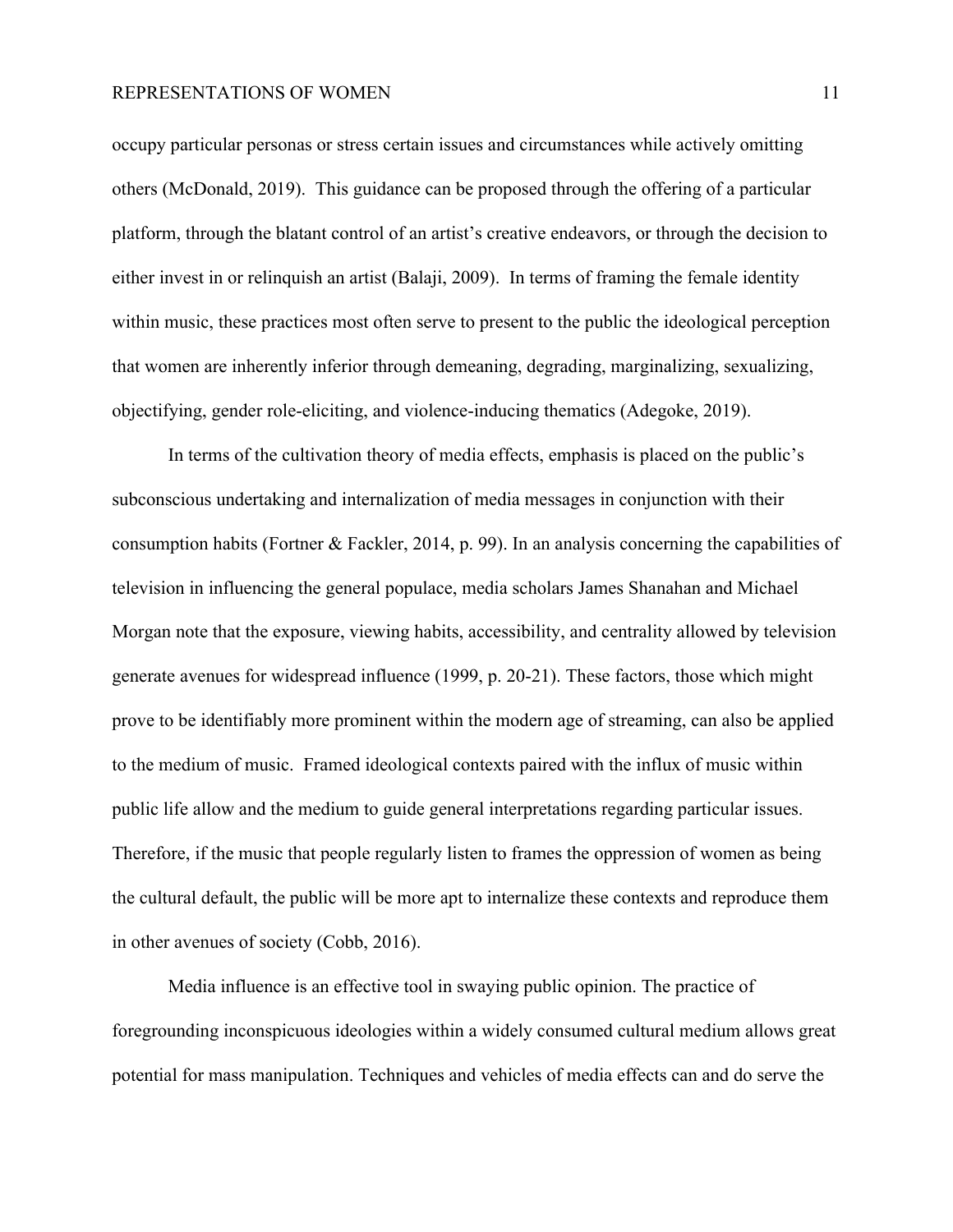occupy particular personas or stress certain issues and circumstances while actively omitting others (McDonald, 2019). This guidance can be proposed through the offering of a particular platform, through the blatant control of an artist's creative endeavors, or through the decision to either invest in or relinquish an artist (Balaji, 2009). In terms of framing the female identity within music, these practices most often serve to present to the public the ideological perception that women are inherently inferior through demeaning, degrading, marginalizing, sexualizing, objectifying, gender role-eliciting, and violence-inducing thematics (Adegoke, 2019).

In terms of the cultivation theory of media effects, emphasis is placed on the public's subconscious undertaking and internalization of media messages in conjunction with their consumption habits (Fortner & Fackler, 2014, p. 99). In an analysis concerning the capabilities of television in influencing the general populace, media scholars James Shanahan and Michael Morgan note that the exposure, viewing habits, accessibility, and centrality allowed by television generate avenues for widespread influence (1999, p. 20-21). These factors, those which might prove to be identifiably more prominent within the modern age of streaming, can also be applied to the medium of music. Framed ideological contexts paired with the influx of music within public life allow and the medium to guide general interpretations regarding particular issues. Therefore, if the music that people regularly listen to frames the oppression of women as being the cultural default, the public will be more apt to internalize these contexts and reproduce them in other avenues of society (Cobb, 2016).

Media influence is an effective tool in swaying public opinion. The practice of foregrounding inconspicuous ideologies within a widely consumed cultural medium allows great potential for mass manipulation. Techniques and vehicles of media effects can and do serve the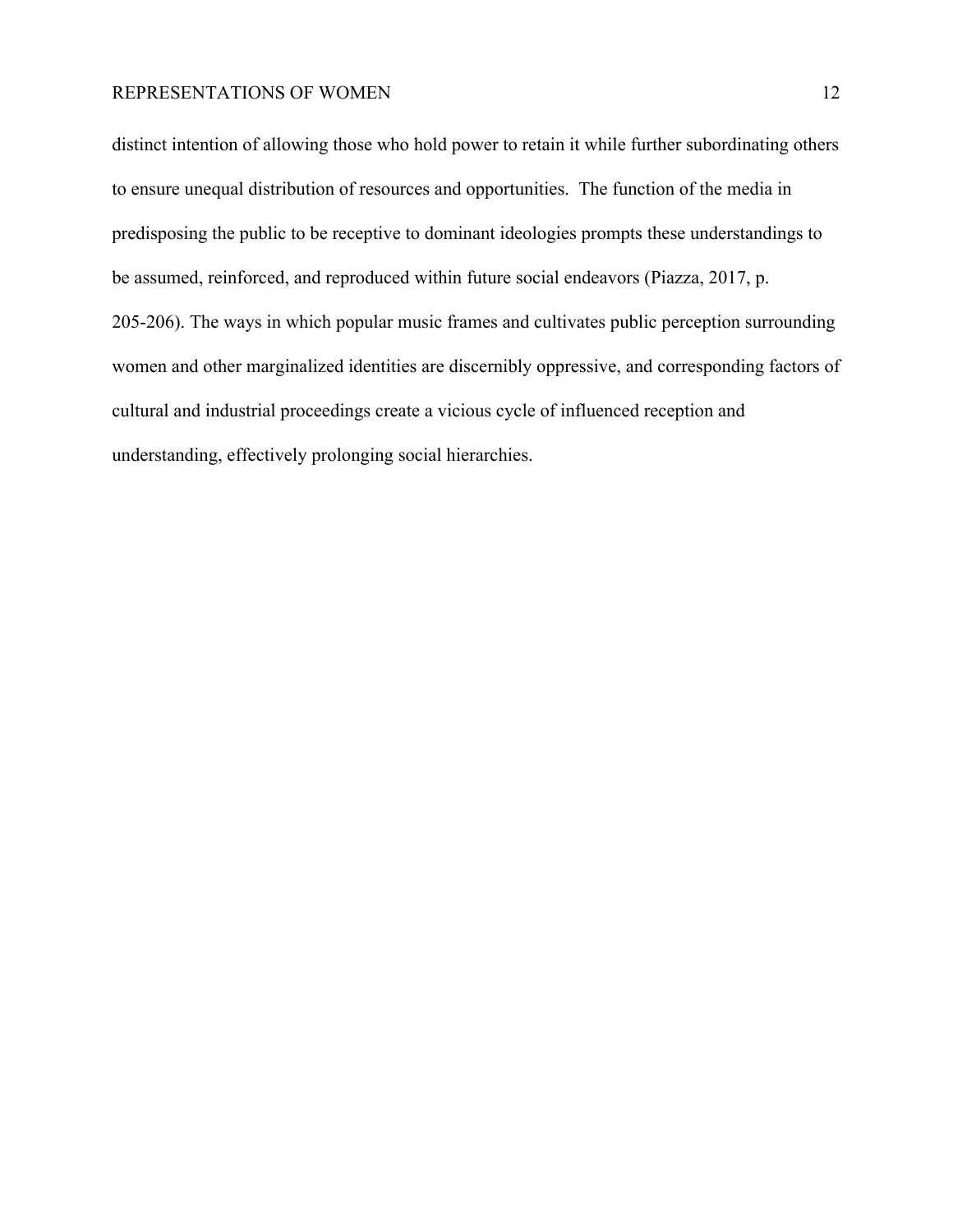distinct intention of allowing those who hold power to retain it while further subordinating others to ensure unequal distribution of resources and opportunities. The function of the media in predisposing the public to be receptive to dominant ideologies prompts these understandings to be assumed, reinforced, and reproduced within future social endeavors (Piazza, 2017, p. 205-206). The ways in which popular music frames and cultivates public perception surrounding women and other marginalized identities are discernibly oppressive, and corresponding factors of cultural and industrial proceedings create a vicious cycle of influenced reception and understanding, effectively prolonging social hierarchies.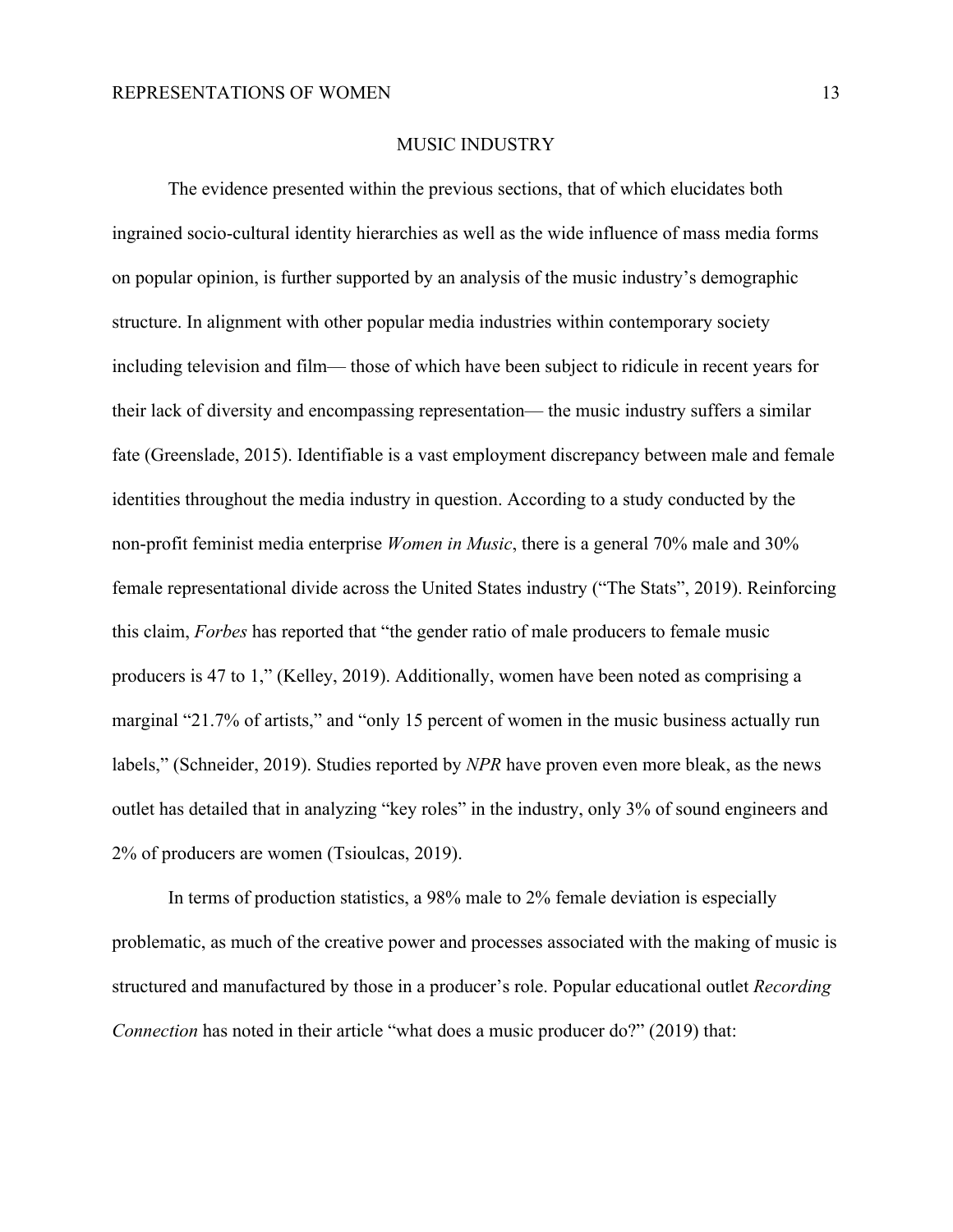#### MUSIC INDUSTRY

The evidence presented within the previous sections, that of which elucidates both ingrained socio-cultural identity hierarchies as well as the wide influence of mass media forms on popular opinion, is further supported by an analysis of the music industry's demographic structure. In alignment with other popular media industries within contemporary society including television and film— those of which have been subject to ridicule in recent years for their lack of diversity and encompassing representation— the music industry suffers a similar fate (Greenslade, 2015). Identifiable is a vast employment discrepancy between male and female identities throughout the media industry in question. According to a study conducted by the non-profit feminist media enterprise *Women in Music*, there is a general 70% male and 30% female representational divide across the United States industry ("The Stats", 2019). Reinforcing this claim, *Forbes* has reported that "the gender ratio of male producers to female music producers is 47 to 1," (Kelley, 2019). Additionally, women have been noted as comprising a marginal "21.7% of artists," and "only 15 percent of women in the music business actually run labels," (Schneider, 2019). Studies reported by *NPR* have proven even more bleak, as the news outlet has detailed that in analyzing "key roles" in the industry, only 3% of sound engineers and 2% of producers are women (Tsioulcas, 2019).

In terms of production statistics, a 98% male to 2% female deviation is especially problematic, as much of the creative power and processes associated with the making of music is structured and manufactured by those in a producer's role. Popular educational outlet *Recording Connection* has noted in their article "what does a music producer do?" (2019) that: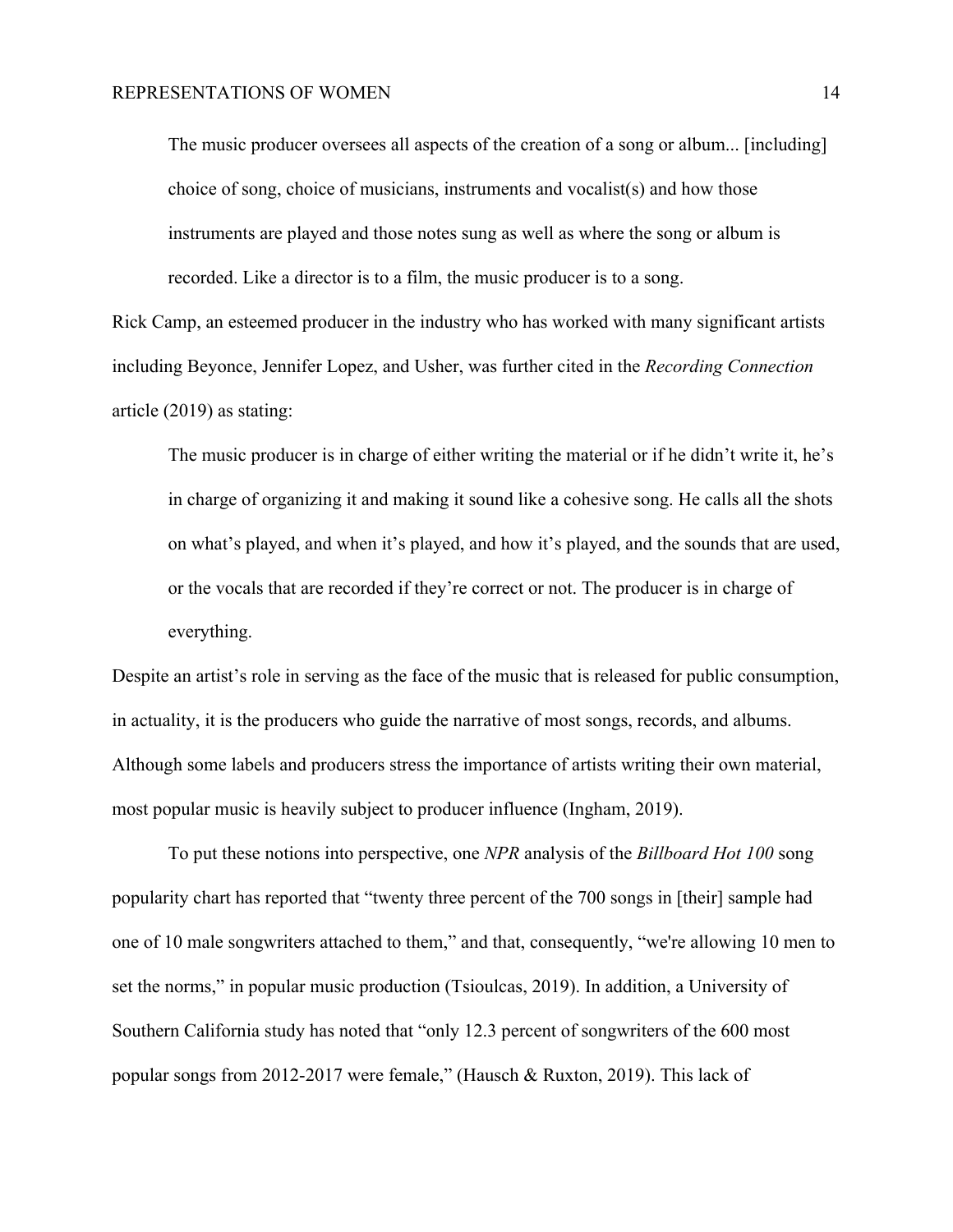The music producer oversees all aspects of the creation of a song or album... [including] choice of song, choice of musicians, instruments and vocalist(s) and how those instruments are played and those notes sung as well as where the song or album is recorded. Like a director is to a film, the music producer is to a song.

Rick Camp, an esteemed producer in the industry who has worked with many significant artists including Beyonce, Jennifer Lopez, and Usher, was further cited in the *Recording Connection* article (2019) as stating:

The music producer is in charge of either writing the material or if he didn't write it, he's in charge of organizing it and making it sound like a cohesive song. He calls all the shots on what's played, and when it's played, and how it's played, and the sounds that are used, or the vocals that are recorded if they're correct or not. The producer is in charge of everything.

Despite an artist's role in serving as the face of the music that is released for public consumption, in actuality, it is the producers who guide the narrative of most songs, records, and albums. Although some labels and producers stress the importance of artists writing their own material, most popular music is heavily subject to producer influence (Ingham, 2019).

To put these notions into perspective, one *NPR* analysis of the *Billboard Hot 100* song popularity chart has reported that "twenty three percent of the 700 songs in [their] sample had one of 10 male songwriters attached to them," and that, consequently, "we're allowing 10 men to set the norms," in popular music production (Tsioulcas, 2019). In addition, a University of Southern California study has noted that "only 12.3 percent of songwriters of the 600 most popular songs from 2012-2017 were female," (Hausch & Ruxton, 2019). This lack of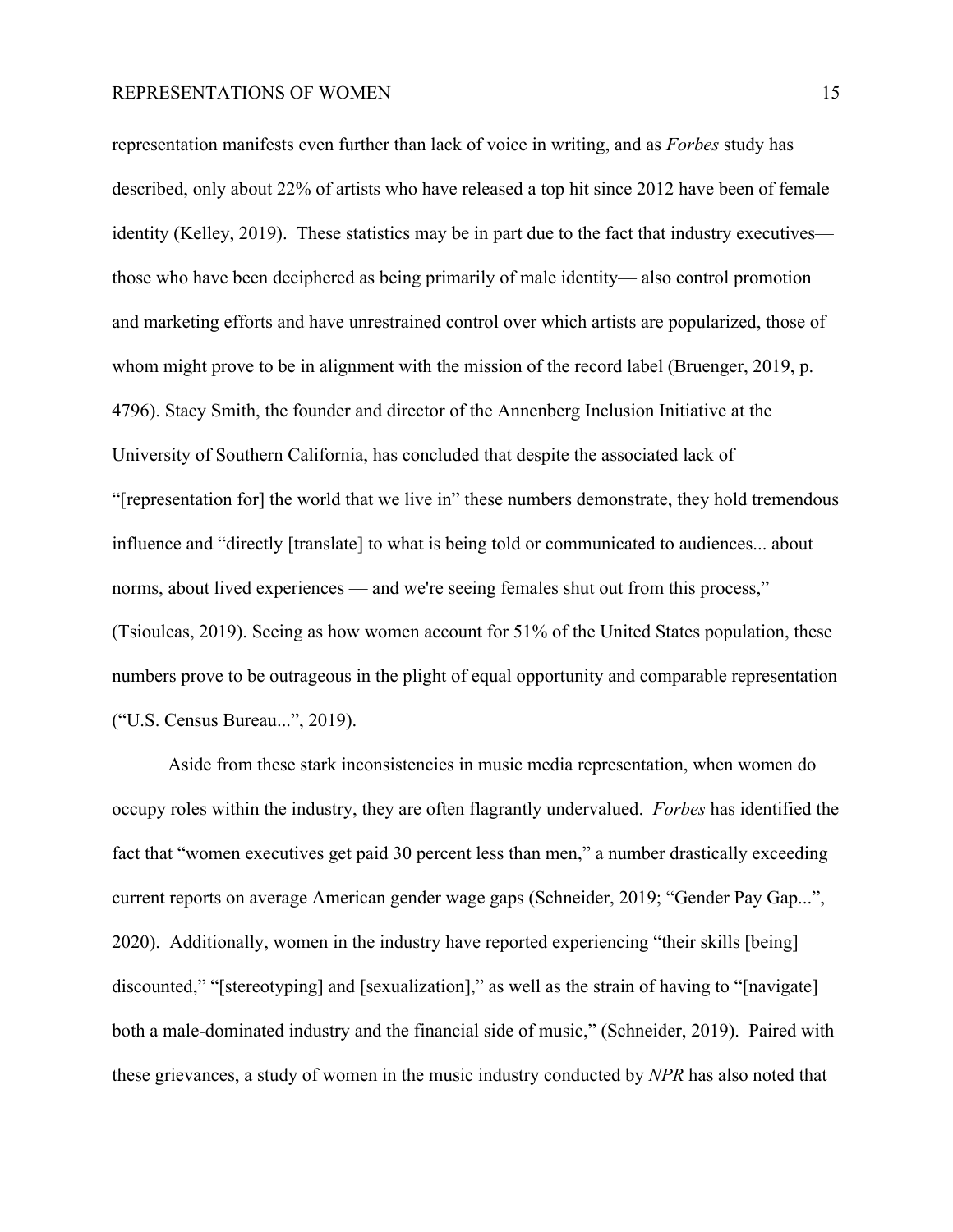representation manifests even further than lack of voice in writing, and as *Forbes* study has described, only about 22% of artists who have released a top hit since 2012 have been of female identity (Kelley, 2019). These statistics may be in part due to the fact that industry executives those who have been deciphered as being primarily of male identity— also control promotion and marketing efforts and have unrestrained control over which artists are popularized, those of whom might prove to be in alignment with the mission of the record label (Bruenger, 2019, p. 4796). Stacy Smith, the founder and director of the Annenberg Inclusion Initiative at the University of Southern California, has concluded that despite the associated lack of "[representation for] the world that we live in" these numbers demonstrate, they hold tremendous influence and "directly [translate] to what is being told or communicated to audiences... about norms, about lived experiences — and we're seeing females shut out from this process," (Tsioulcas, 2019). Seeing as how women account for 51% of the United States population, these numbers prove to be outrageous in the plight of equal opportunity and comparable representation ("U.S. Census Bureau...", 2019).

Aside from these stark inconsistencies in music media representation, when women do occupy roles within the industry, they are often flagrantly undervalued. *Forbes* has identified the fact that "women executives get paid 30 percent less than men," a number drastically exceeding current reports on average American gender wage gaps (Schneider, 2019; "Gender Pay Gap...", 2020). Additionally, women in the industry have reported experiencing "their skills [being] discounted," "[stereotyping] and [sexualization]," as well as the strain of having to "[navigate] both a male-dominated industry and the financial side of music," (Schneider, 2019). Paired with these grievances, a study of women in the music industry conducted by *NPR* has also noted that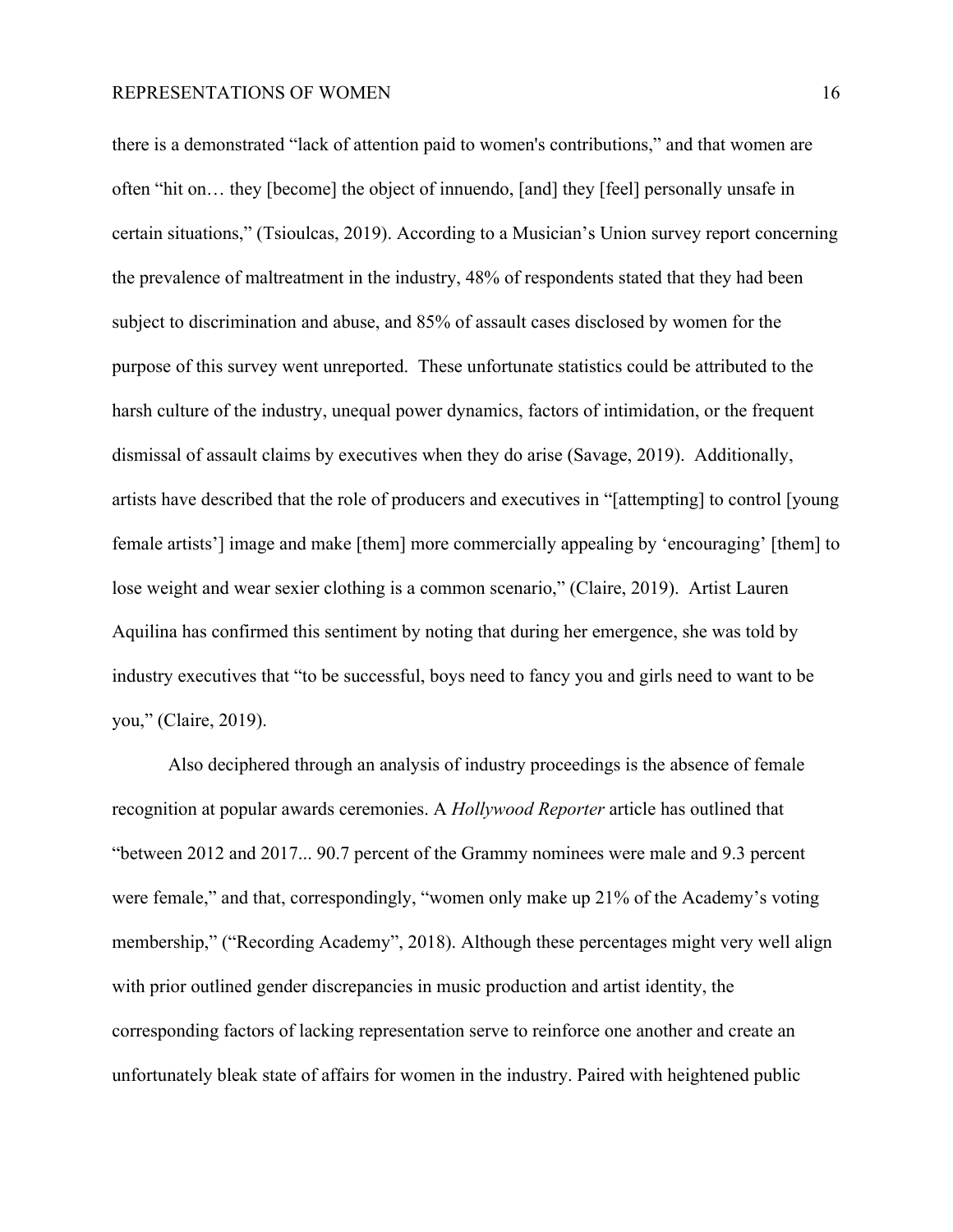there is a demonstrated "lack of attention paid to women's contributions," and that women are often "hit on… they [become] the object of innuendo, [and] they [feel] personally unsafe in certain situations," (Tsioulcas, 2019). According to a Musician's Union survey report concerning the prevalence of maltreatment in the industry, 48% of respondents stated that they had been subject to discrimination and abuse, and 85% of assault cases disclosed by women for the purpose of this survey went unreported. These unfortunate statistics could be attributed to the harsh culture of the industry, unequal power dynamics, factors of intimidation, or the frequent dismissal of assault claims by executives when they do arise (Savage, 2019). Additionally, artists have described that the role of producers and executives in "[attempting] to control [young female artists'] image and make [them] more commercially appealing by 'encouraging' [them] to lose weight and wear sexier clothing is a common scenario," (Claire, 2019). Artist Lauren Aquilina has confirmed this sentiment by noting that during her emergence, she was told by industry executives that "to be successful, boys need to fancy you and girls need to want to be you," (Claire, 2019).

Also deciphered through an analysis of industry proceedings is the absence of female recognition at popular awards ceremonies. A *Hollywood Reporter* article has outlined that "between 2012 and 2017... 90.7 percent of the Grammy nominees were male and 9.3 percent were female," and that, correspondingly, "women only make up 21% of the Academy's voting membership," ("Recording Academy", 2018). Although these percentages might very well align with prior outlined gender discrepancies in music production and artist identity, the corresponding factors of lacking representation serve to reinforce one another and create an unfortunately bleak state of affairs for women in the industry. Paired with heightened public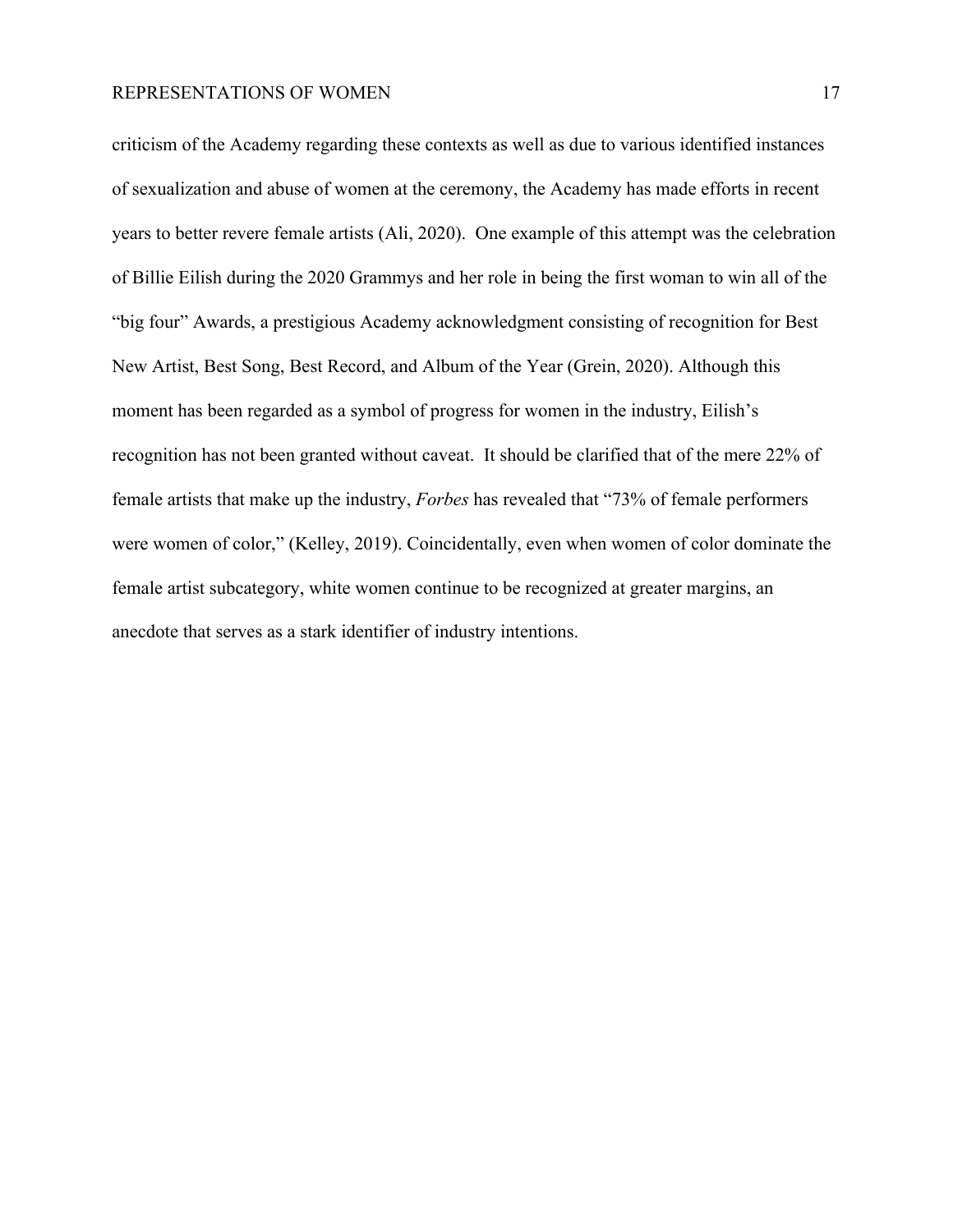criticism of the Academy regarding these contexts as well as due to various identified instances of sexualization and abuse of women at the ceremony, the Academy has made efforts in recent years to better revere female artists (Ali, 2020). One example of this attempt was the celebration of Billie Eilish during the 2020 Grammys and her role in being the first woman to win all of the "big four" Awards, a prestigious Academy acknowledgment consisting of recognition for Best New Artist, Best Song, Best Record, and Album of the Year (Grein, 2020). Although this moment has been regarded as a symbol of progress for women in the industry, Eilish's recognition has not been granted without caveat. It should be clarified that of the mere 22% of female artists that make up the industry, *Forbes* has revealed that "73% of female performers were women of color," (Kelley, 2019). Coincidentally, even when women of color dominate the female artist subcategory, white women continue to be recognized at greater margins, an anecdote that serves as a stark identifier of industry intentions.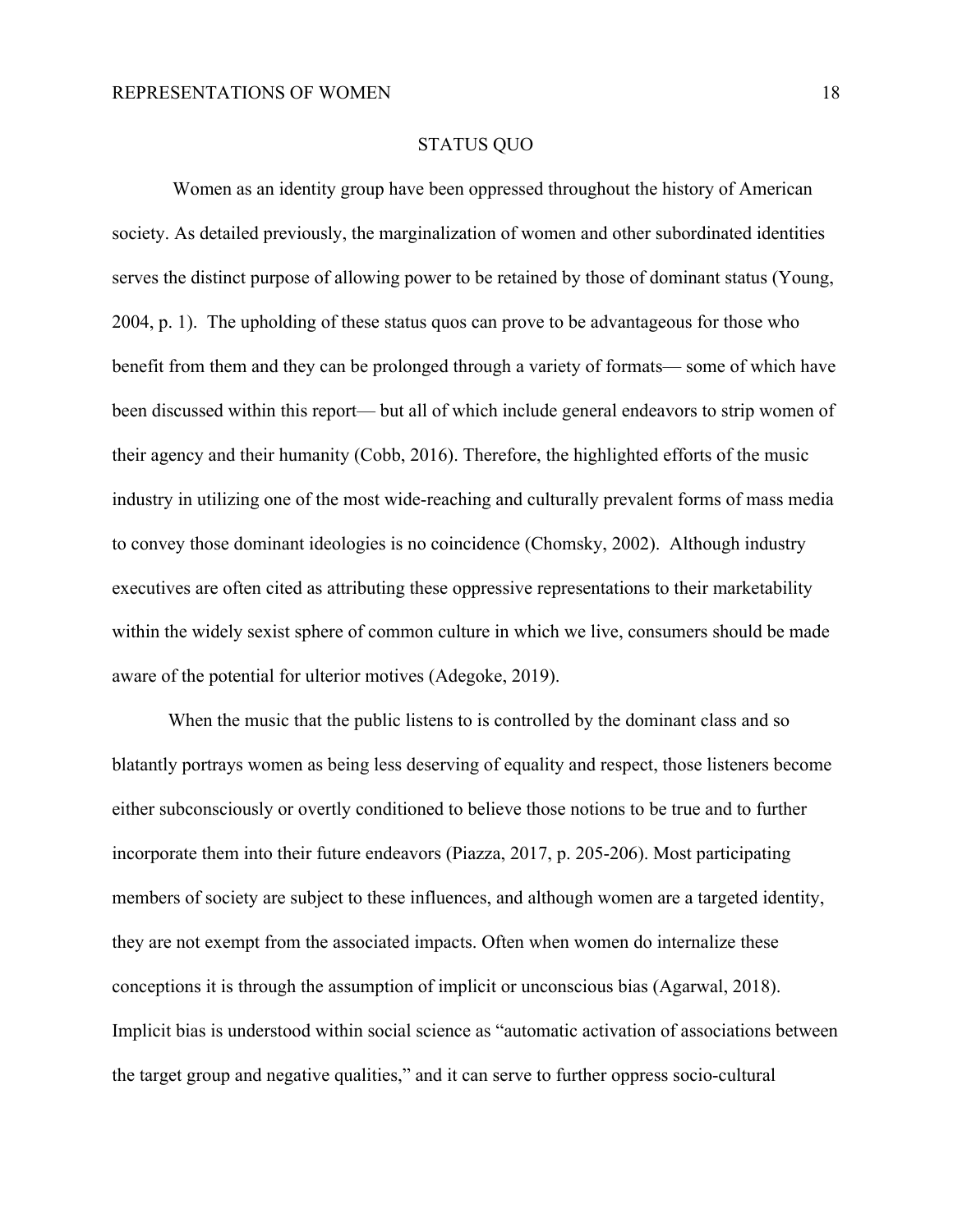#### STATUS QUO

 Women as an identity group have been oppressed throughout the history of American society. As detailed previously, the marginalization of women and other subordinated identities serves the distinct purpose of allowing power to be retained by those of dominant status (Young, 2004, p. 1). The upholding of these status quos can prove to be advantageous for those who benefit from them and they can be prolonged through a variety of formats— some of which have been discussed within this report— but all of which include general endeavors to strip women of their agency and their humanity (Cobb, 2016). Therefore, the highlighted efforts of the music industry in utilizing one of the most wide-reaching and culturally prevalent forms of mass media to convey those dominant ideologies is no coincidence (Chomsky, 2002). Although industry executives are often cited as attributing these oppressive representations to their marketability within the widely sexist sphere of common culture in which we live, consumers should be made aware of the potential for ulterior motives (Adegoke, 2019).

When the music that the public listens to is controlled by the dominant class and so blatantly portrays women as being less deserving of equality and respect, those listeners become either subconsciously or overtly conditioned to believe those notions to be true and to further incorporate them into their future endeavors (Piazza, 2017, p. 205-206). Most participating members of society are subject to these influences, and although women are a targeted identity, they are not exempt from the associated impacts. Often when women do internalize these conceptions it is through the assumption of implicit or unconscious bias (Agarwal, 2018). Implicit bias is understood within social science as "automatic activation of associations between the target group and negative qualities," and it can serve to further oppress socio-cultural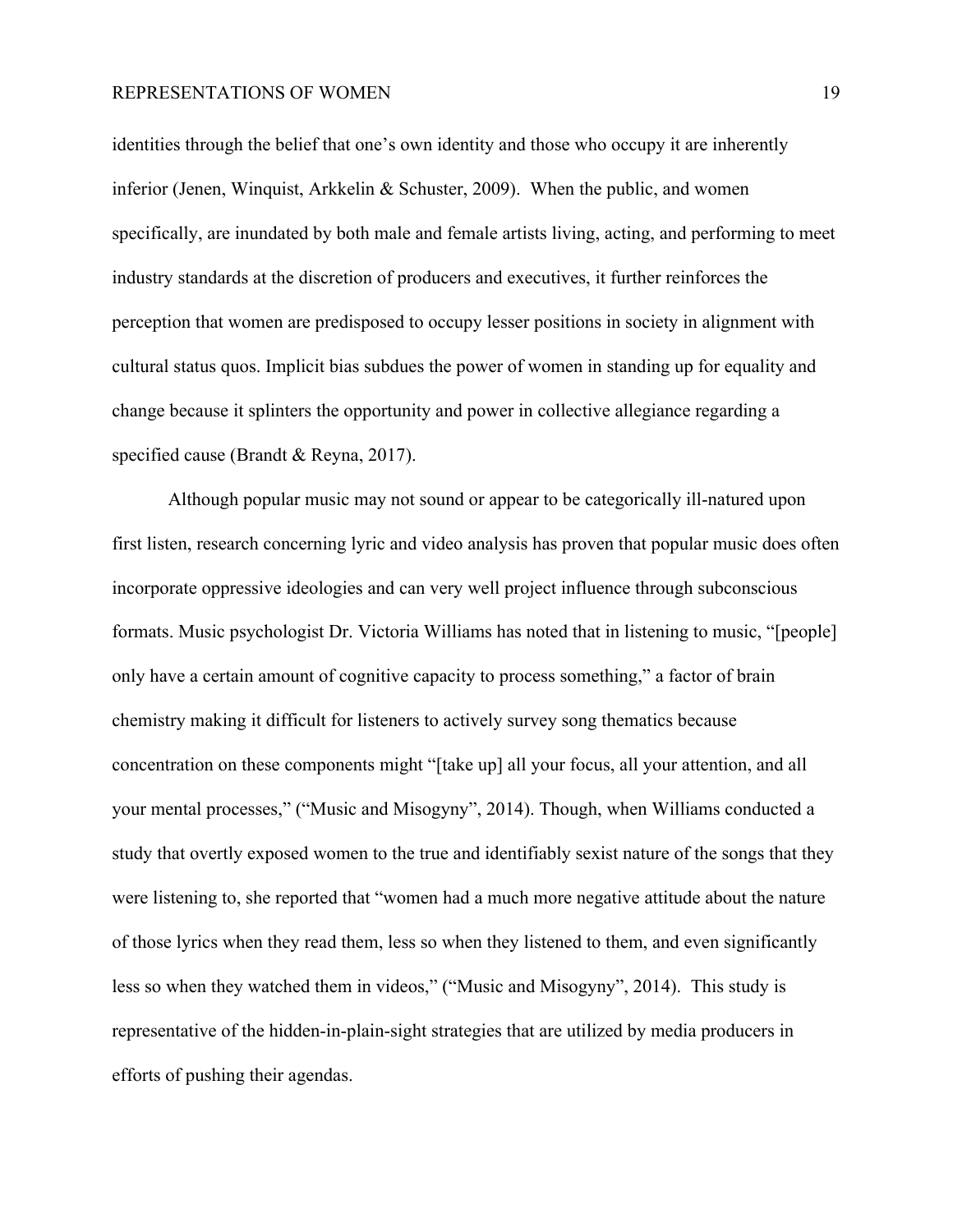identities through the belief that one's own identity and those who occupy it are inherently inferior (Jenen, Winquist, Arkkelin & Schuster, 2009). When the public, and women specifically, are inundated by both male and female artists living, acting, and performing to meet industry standards at the discretion of producers and executives, it further reinforces the perception that women are predisposed to occupy lesser positions in society in alignment with cultural status quos. Implicit bias subdues the power of women in standing up for equality and change because it splinters the opportunity and power in collective allegiance regarding a specified cause (Brandt & Reyna, 2017).

Although popular music may not sound or appear to be categorically ill-natured upon first listen, research concerning lyric and video analysis has proven that popular music does often incorporate oppressive ideologies and can very well project influence through subconscious formats. Music psychologist Dr. Victoria Williams has noted that in listening to music, "[people] only have a certain amount of cognitive capacity to process something," a factor of brain chemistry making it difficult for listeners to actively survey song thematics because concentration on these components might "[take up] all your focus, all your attention, and all your mental processes," ("Music and Misogyny", 2014). Though, when Williams conducted a study that overtly exposed women to the true and identifiably sexist nature of the songs that they were listening to, she reported that "women had a much more negative attitude about the nature of those lyrics when they read them, less so when they listened to them, and even significantly less so when they watched them in videos," ("Music and Misogyny", 2014). This study is representative of the hidden-in-plain-sight strategies that are utilized by media producers in efforts of pushing their agendas.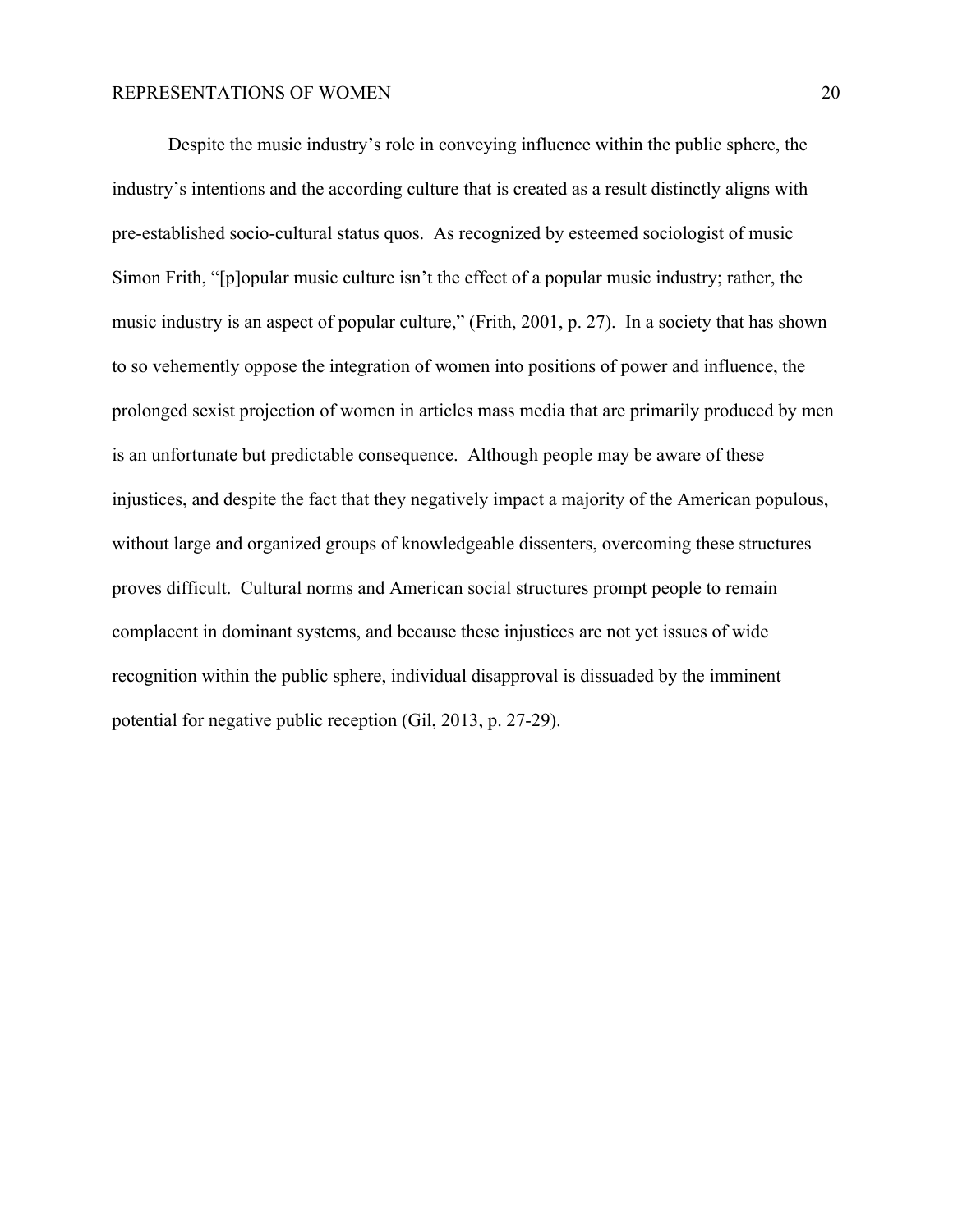Despite the music industry's role in conveying influence within the public sphere, the industry's intentions and the according culture that is created as a result distinctly aligns with pre-established socio-cultural status quos. As recognized by esteemed sociologist of music Simon Frith, "[p]opular music culture isn't the effect of a popular music industry; rather, the music industry is an aspect of popular culture," (Frith, 2001, p. 27). In a society that has shown to so vehemently oppose the integration of women into positions of power and influence, the prolonged sexist projection of women in articles mass media that are primarily produced by men is an unfortunate but predictable consequence. Although people may be aware of these injustices, and despite the fact that they negatively impact a majority of the American populous, without large and organized groups of knowledgeable dissenters, overcoming these structures proves difficult. Cultural norms and American social structures prompt people to remain complacent in dominant systems, and because these injustices are not yet issues of wide recognition within the public sphere, individual disapproval is dissuaded by the imminent potential for negative public reception (Gil, 2013, p. 27-29).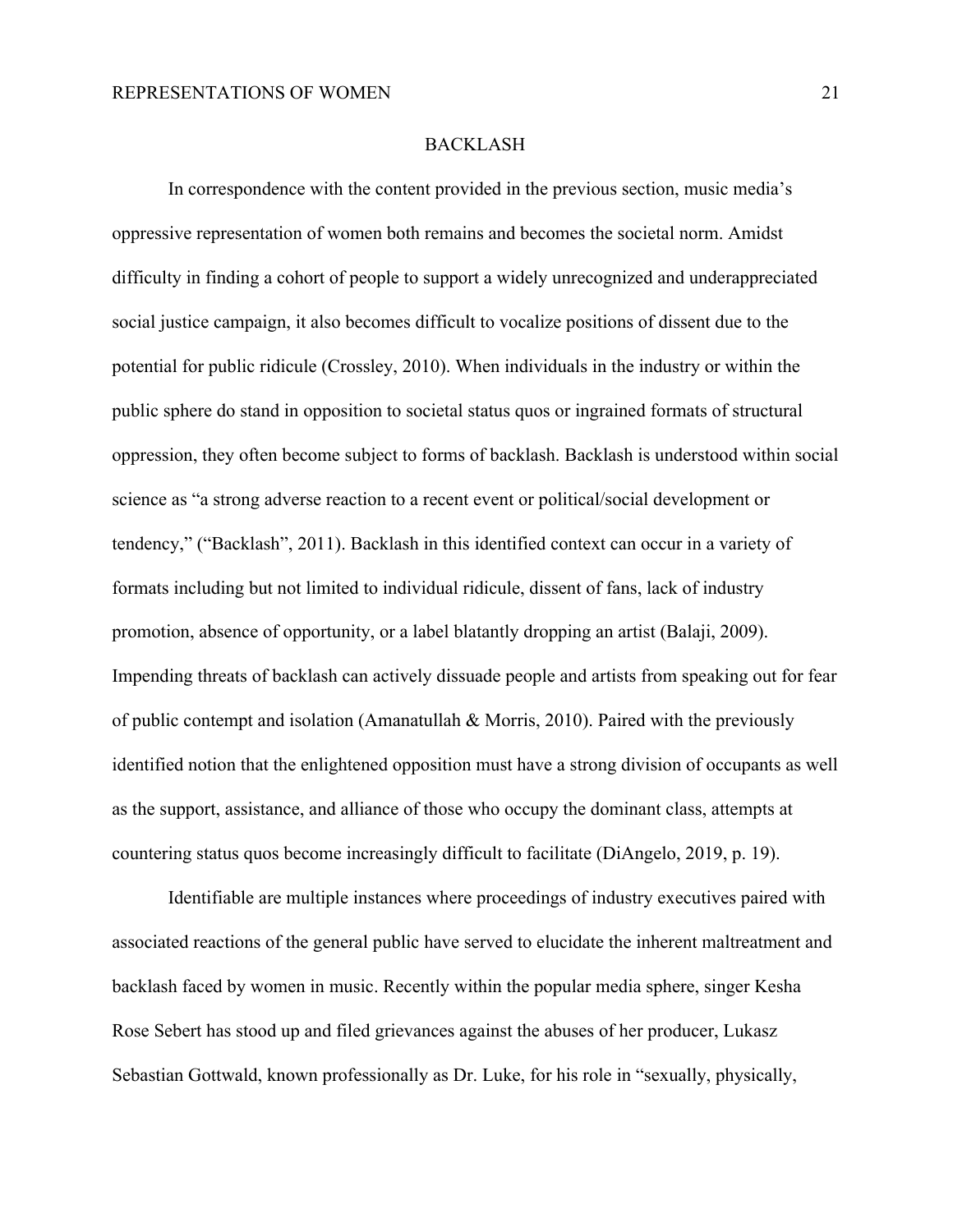#### BACKLASH

In correspondence with the content provided in the previous section, music media's oppressive representation of women both remains and becomes the societal norm. Amidst difficulty in finding a cohort of people to support a widely unrecognized and underappreciated social justice campaign, it also becomes difficult to vocalize positions of dissent due to the potential for public ridicule (Crossley, 2010). When individuals in the industry or within the public sphere do stand in opposition to societal status quos or ingrained formats of structural oppression, they often become subject to forms of backlash. Backlash is understood within social science as "a strong adverse reaction to a recent event or political/social development or tendency," ("Backlash", 2011). Backlash in this identified context can occur in a variety of formats including but not limited to individual ridicule, dissent of fans, lack of industry promotion, absence of opportunity, or a label blatantly dropping an artist (Balaji, 2009). Impending threats of backlash can actively dissuade people and artists from speaking out for fear of public contempt and isolation (Amanatullah & Morris, 2010). Paired with the previously identified notion that the enlightened opposition must have a strong division of occupants as well as the support, assistance, and alliance of those who occupy the dominant class, attempts at countering status quos become increasingly difficult to facilitate (DiAngelo, 2019, p. 19).

Identifiable are multiple instances where proceedings of industry executives paired with associated reactions of the general public have served to elucidate the inherent maltreatment and backlash faced by women in music. Recently within the popular media sphere, singer Kesha Rose Sebert has stood up and filed grievances against the abuses of her producer, Lukasz Sebastian Gottwald, known professionally as Dr. Luke, for his role in "sexually, physically,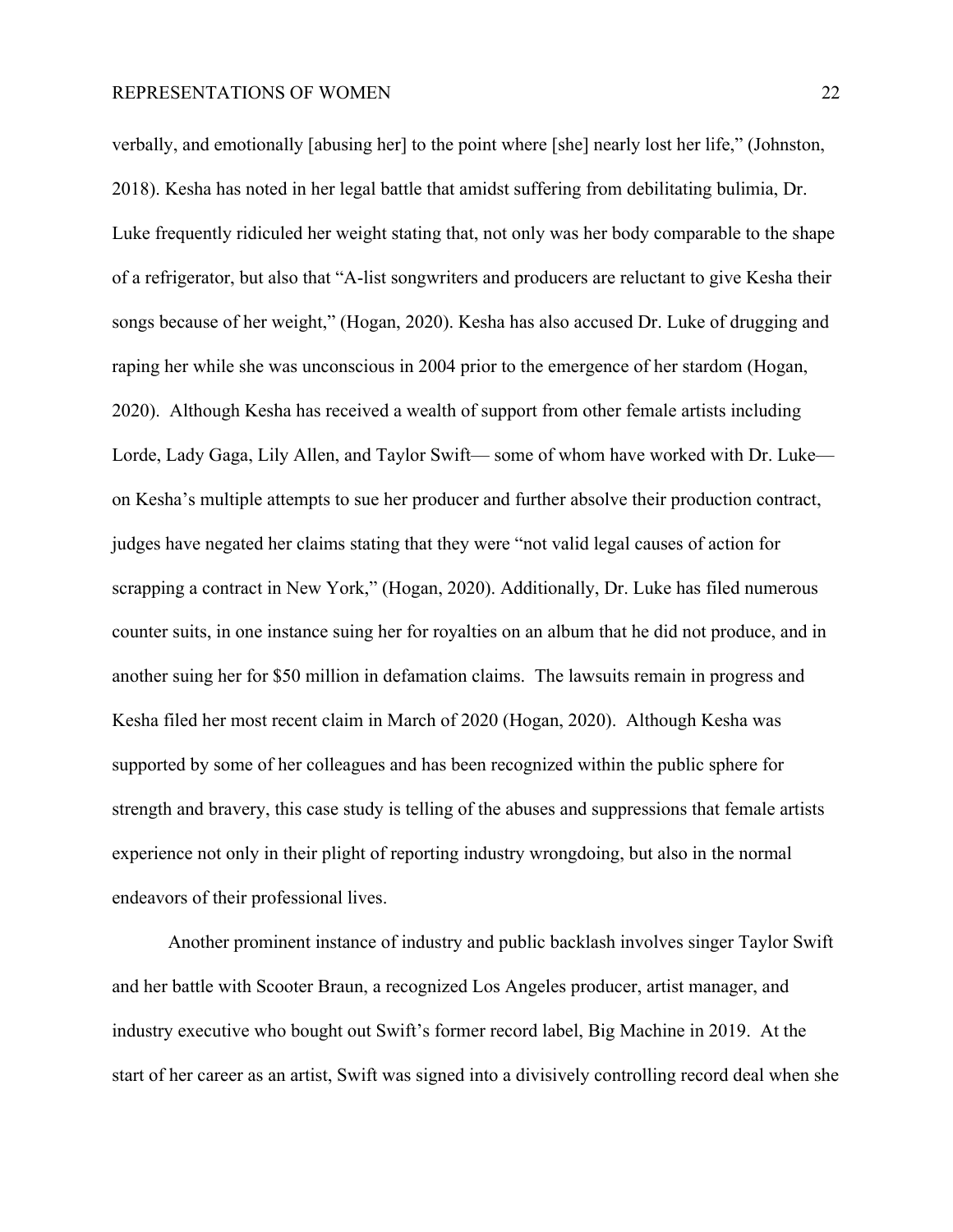verbally, and emotionally [abusing her] to the point where [she] nearly lost her life," (Johnston, 2018). Kesha has noted in her legal battle that amidst suffering from debilitating bulimia, Dr. Luke frequently ridiculed her weight stating that, not only was her body comparable to the shape of a refrigerator, but also that "A-list songwriters and producers are reluctant to give Kesha their songs because of her weight," (Hogan, 2020). Kesha has also accused Dr. Luke of drugging and raping her while she was unconscious in 2004 prior to the emergence of her stardom (Hogan, 2020). Although Kesha has received a wealth of support from other female artists including Lorde, Lady Gaga, Lily Allen, and Taylor Swift— some of whom have worked with Dr. Luke on Kesha's multiple attempts to sue her producer and further absolve their production contract, judges have negated her claims stating that they were "not valid legal causes of action for scrapping a contract in New York," (Hogan, 2020). Additionally, Dr. Luke has filed numerous counter suits, in one instance suing her for royalties on an album that he did not produce, and in another suing her for \$50 million in defamation claims. The lawsuits remain in progress and Kesha filed her most recent claim in March of 2020 (Hogan, 2020). Although Kesha was supported by some of her colleagues and has been recognized within the public sphere for strength and bravery, this case study is telling of the abuses and suppressions that female artists experience not only in their plight of reporting industry wrongdoing, but also in the normal endeavors of their professional lives.

Another prominent instance of industry and public backlash involves singer Taylor Swift and her battle with Scooter Braun, a recognized Los Angeles producer, artist manager, and industry executive who bought out Swift's former record label, Big Machine in 2019. At the start of her career as an artist, Swift was signed into a divisively controlling record deal when she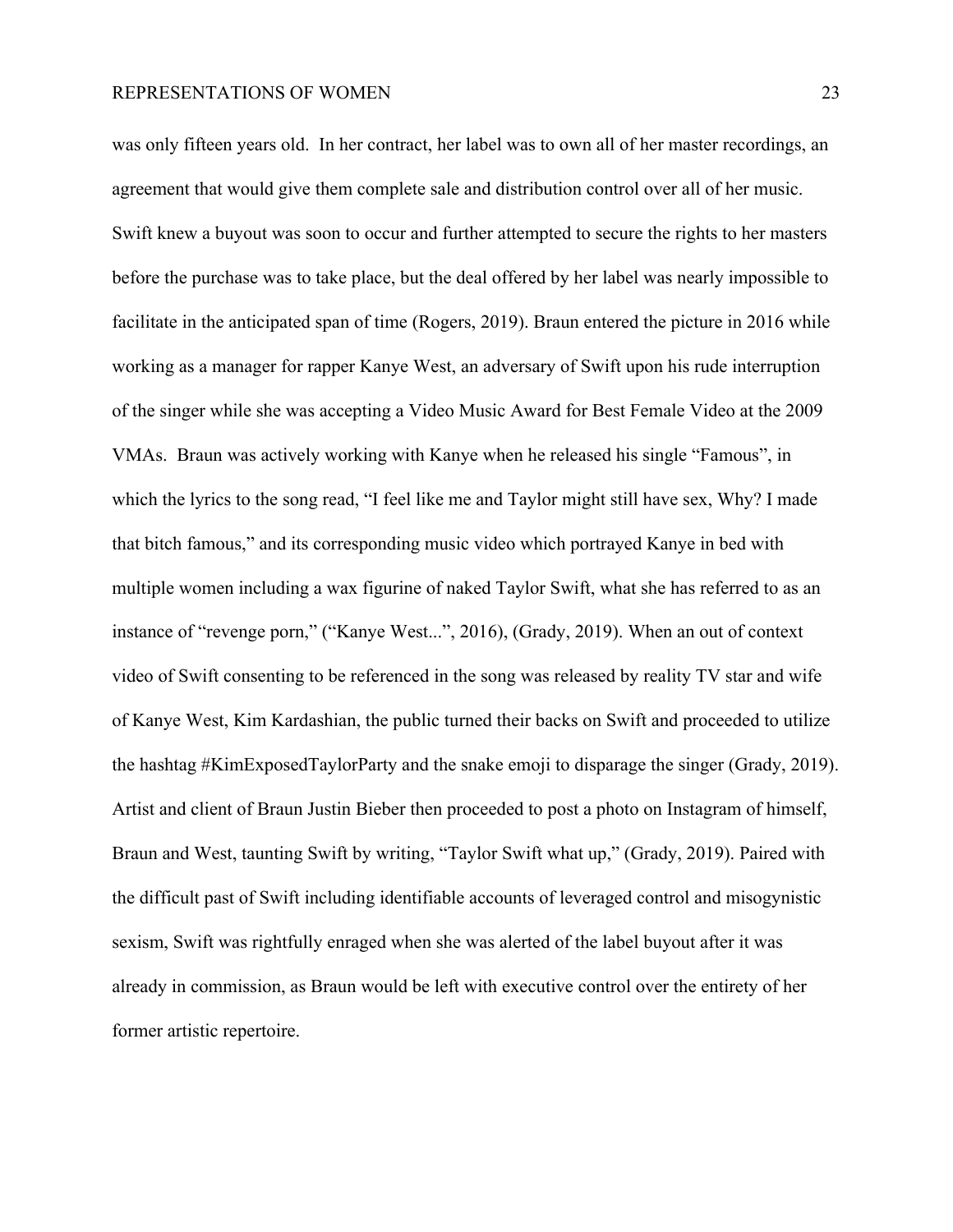was only fifteen years old. In her contract, her label was to own all of her master recordings, an agreement that would give them complete sale and distribution control over all of her music. Swift knew a buyout was soon to occur and further attempted to secure the rights to her masters before the purchase was to take place, but the deal offered by her label was nearly impossible to facilitate in the anticipated span of time (Rogers, 2019). Braun entered the picture in 2016 while working as a manager for rapper Kanye West, an adversary of Swift upon his rude interruption of the singer while she was accepting a Video Music Award for Best Female Video at the 2009 VMAs. Braun was actively working with Kanye when he released his single "Famous", in which the lyrics to the song read, "I feel like me and Taylor might still have sex, Why? I made that bitch famous," and its corresponding music video which portrayed Kanye in bed with multiple women including a wax figurine of naked Taylor Swift, what she has referred to as an instance of "revenge porn," ("Kanye West...", 2016), (Grady, 2019). When an out of context video of Swift consenting to be referenced in the song was released by reality TV star and wife of Kanye West, Kim Kardashian, the public turned their backs on Swift and proceeded to utilize the hashtag #KimExposedTaylorParty and the snake emoji to disparage the singer (Grady, 2019). Artist and client of Braun Justin Bieber then proceeded to post a photo on Instagram of himself, Braun and West, taunting Swift by writing, "Taylor Swift what up," (Grady, 2019). Paired with the difficult past of Swift including identifiable accounts of leveraged control and misogynistic sexism, Swift was rightfully enraged when she was alerted of the label buyout after it was already in commission, as Braun would be left with executive control over the entirety of her former artistic repertoire.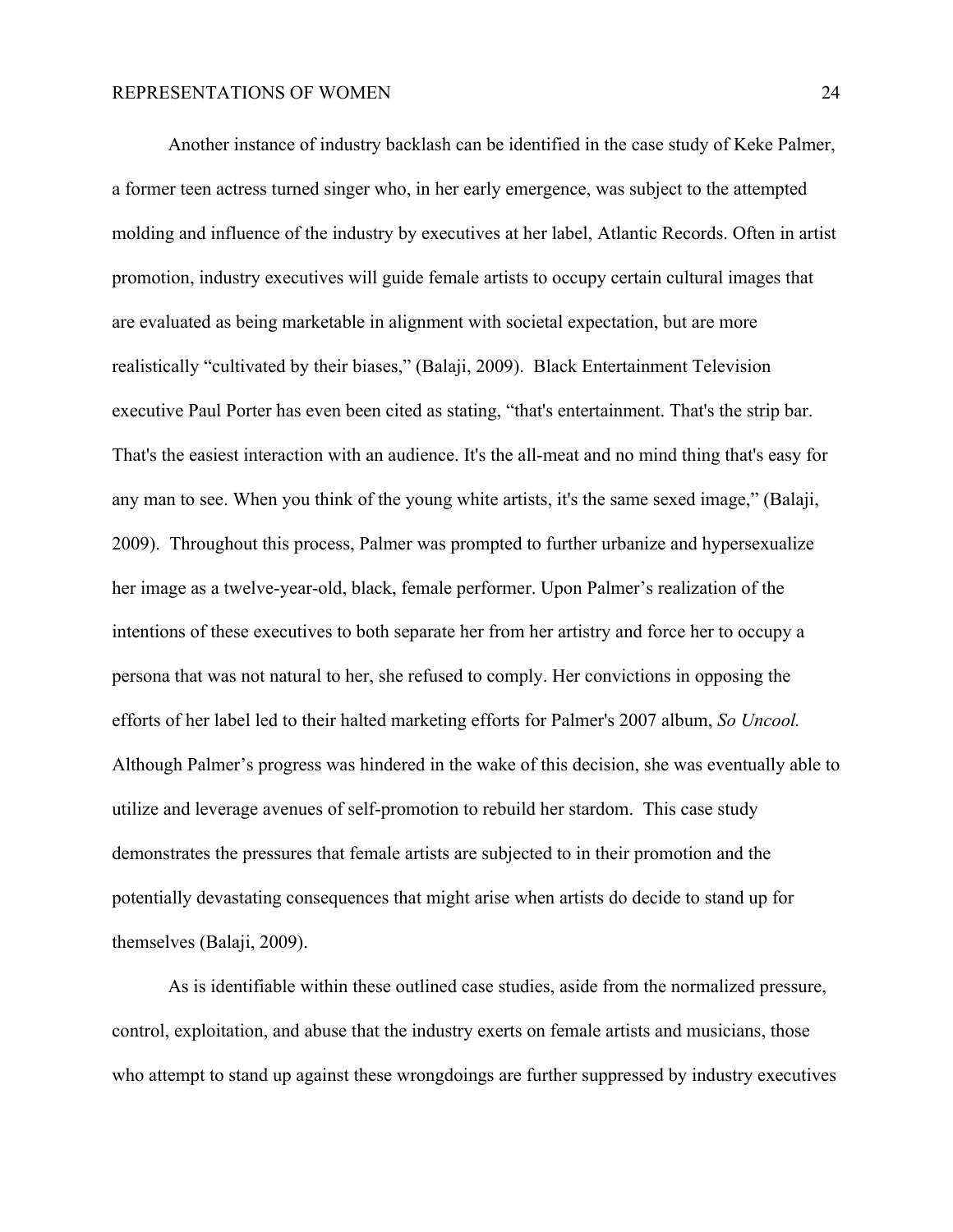Another instance of industry backlash can be identified in the case study of Keke Palmer, a former teen actress turned singer who, in her early emergence, was subject to the attempted molding and influence of the industry by executives at her label, Atlantic Records. Often in artist promotion, industry executives will guide female artists to occupy certain cultural images that are evaluated as being marketable in alignment with societal expectation, but are more realistically "cultivated by their biases," (Balaji, 2009). Black Entertainment Television executive Paul Porter has even been cited as stating, "that's entertainment. That's the strip bar. That's the easiest interaction with an audience. It's the all-meat and no mind thing that's easy for any man to see. When you think of the young white artists, it's the same sexed image," (Balaji, 2009). Throughout this process, Palmer was prompted to further urbanize and hypersexualize her image as a twelve-year-old, black, female performer. Upon Palmer's realization of the intentions of these executives to both separate her from her artistry and force her to occupy a persona that was not natural to her, she refused to comply. Her convictions in opposing the efforts of her label led to their halted marketing efforts for Palmer's 2007 album, *So Uncool.* Although Palmer's progress was hindered in the wake of this decision, she was eventually able to utilize and leverage avenues of self-promotion to rebuild her stardom. This case study demonstrates the pressures that female artists are subjected to in their promotion and the potentially devastating consequences that might arise when artists do decide to stand up for themselves (Balaji, 2009).

As is identifiable within these outlined case studies, aside from the normalized pressure, control, exploitation, and abuse that the industry exerts on female artists and musicians, those who attempt to stand up against these wrongdoings are further suppressed by industry executives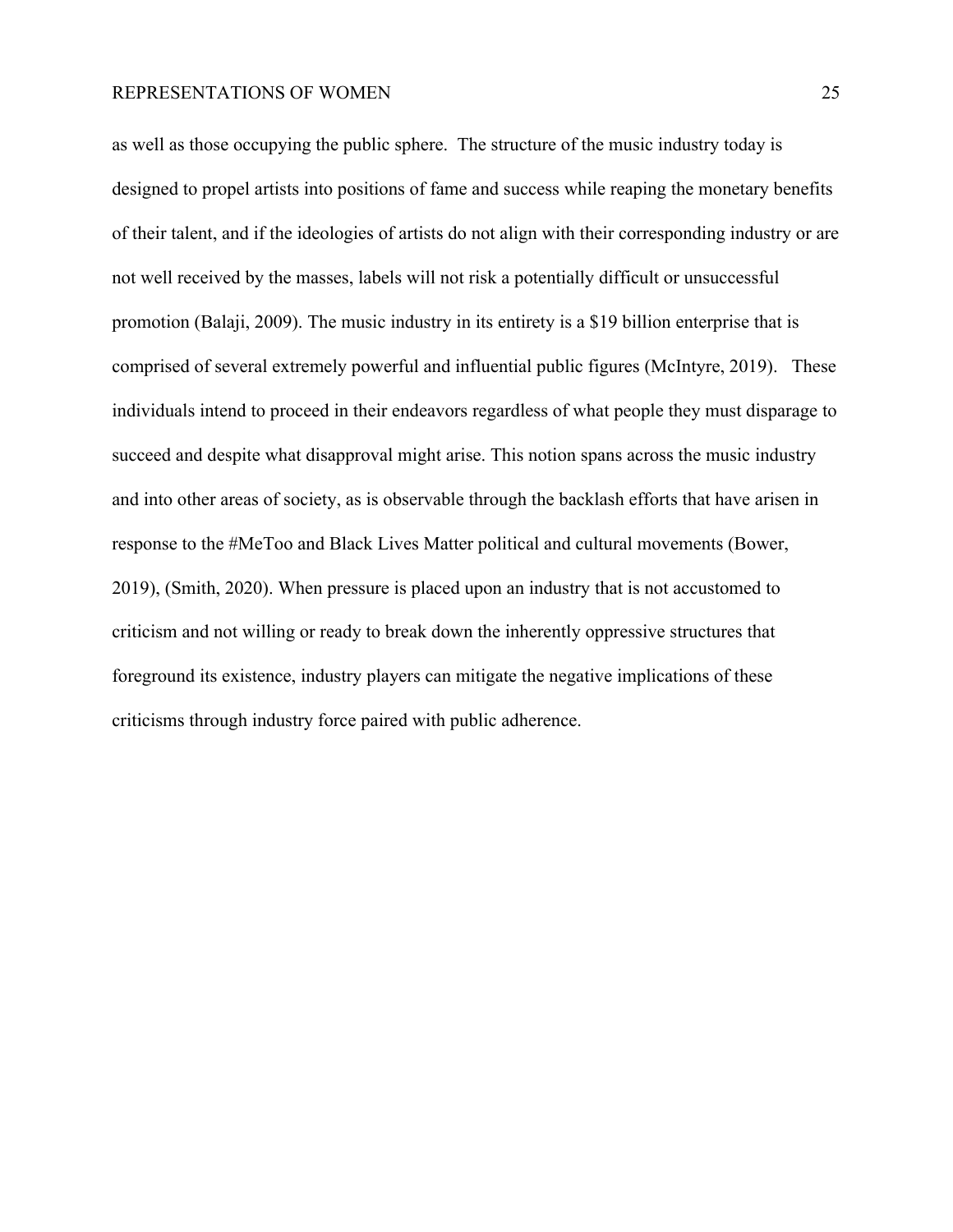as well as those occupying the public sphere. The structure of the music industry today is designed to propel artists into positions of fame and success while reaping the monetary benefits of their talent, and if the ideologies of artists do not align with their corresponding industry or are not well received by the masses, labels will not risk a potentially difficult or unsuccessful promotion (Balaji, 2009). The music industry in its entirety is a \$19 billion enterprise that is comprised of several extremely powerful and influential public figures (McIntyre, 2019). These individuals intend to proceed in their endeavors regardless of what people they must disparage to succeed and despite what disapproval might arise. This notion spans across the music industry and into other areas of society, as is observable through the backlash efforts that have arisen in response to the #MeToo and Black Lives Matter political and cultural movements (Bower, 2019), (Smith, 2020). When pressure is placed upon an industry that is not accustomed to criticism and not willing or ready to break down the inherently oppressive structures that foreground its existence, industry players can mitigate the negative implications of these criticisms through industry force paired with public adherence.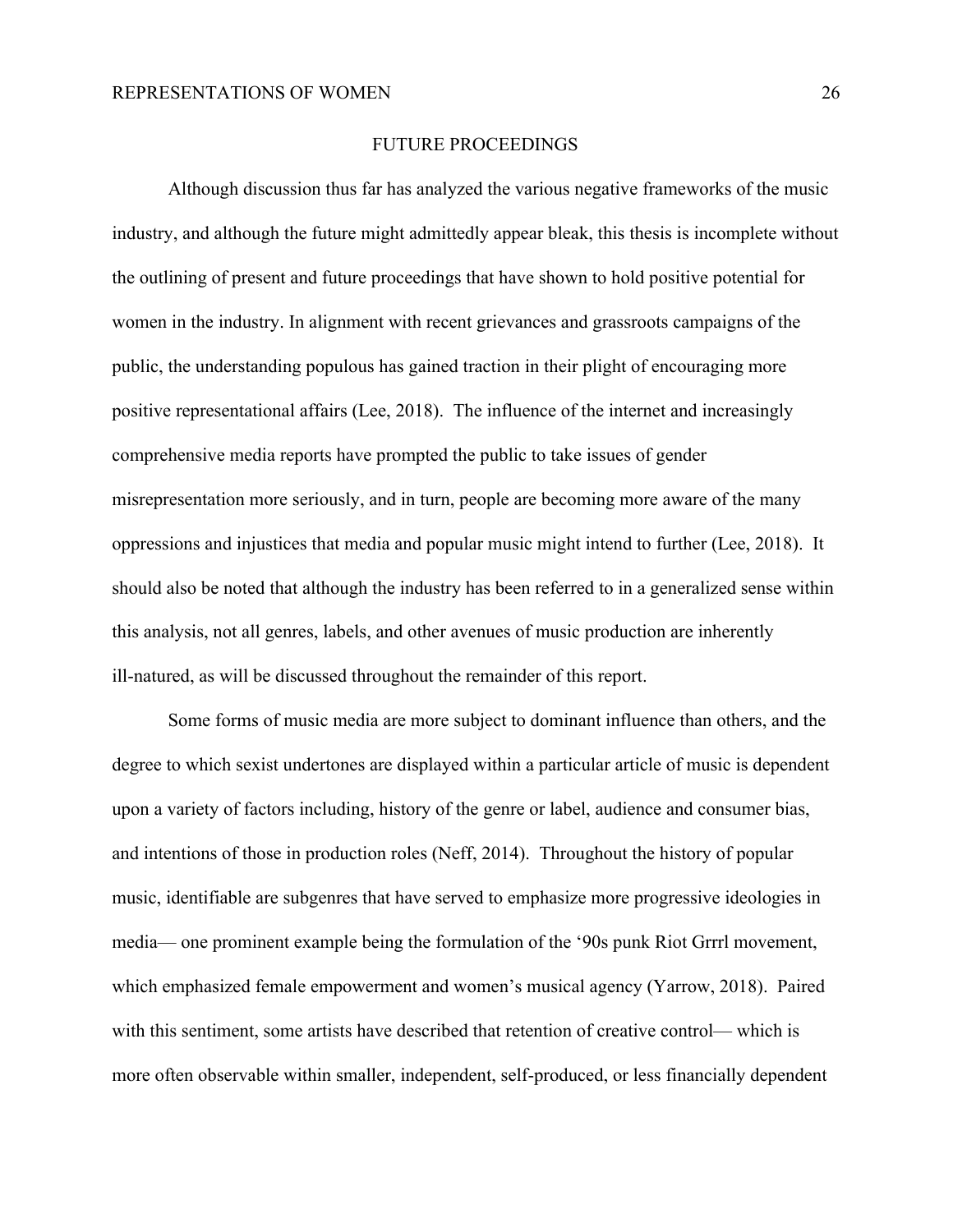#### FUTURE PROCEEDINGS

Although discussion thus far has analyzed the various negative frameworks of the music industry, and although the future might admittedly appear bleak, this thesis is incomplete without the outlining of present and future proceedings that have shown to hold positive potential for women in the industry. In alignment with recent grievances and grassroots campaigns of the public, the understanding populous has gained traction in their plight of encouraging more positive representational affairs (Lee, 2018). The influence of the internet and increasingly comprehensive media reports have prompted the public to take issues of gender misrepresentation more seriously, and in turn, people are becoming more aware of the many oppressions and injustices that media and popular music might intend to further (Lee, 2018). It should also be noted that although the industry has been referred to in a generalized sense within this analysis, not all genres, labels, and other avenues of music production are inherently ill-natured, as will be discussed throughout the remainder of this report.

Some forms of music media are more subject to dominant influence than others, and the degree to which sexist undertones are displayed within a particular article of music is dependent upon a variety of factors including, history of the genre or label, audience and consumer bias, and intentions of those in production roles (Neff, 2014). Throughout the history of popular music, identifiable are subgenres that have served to emphasize more progressive ideologies in media— one prominent example being the formulation of the '90s punk Riot Grrrl movement, which emphasized female empowerment and women's musical agency (Yarrow, 2018). Paired with this sentiment, some artists have described that retention of creative control— which is more often observable within smaller, independent, self-produced, or less financially dependent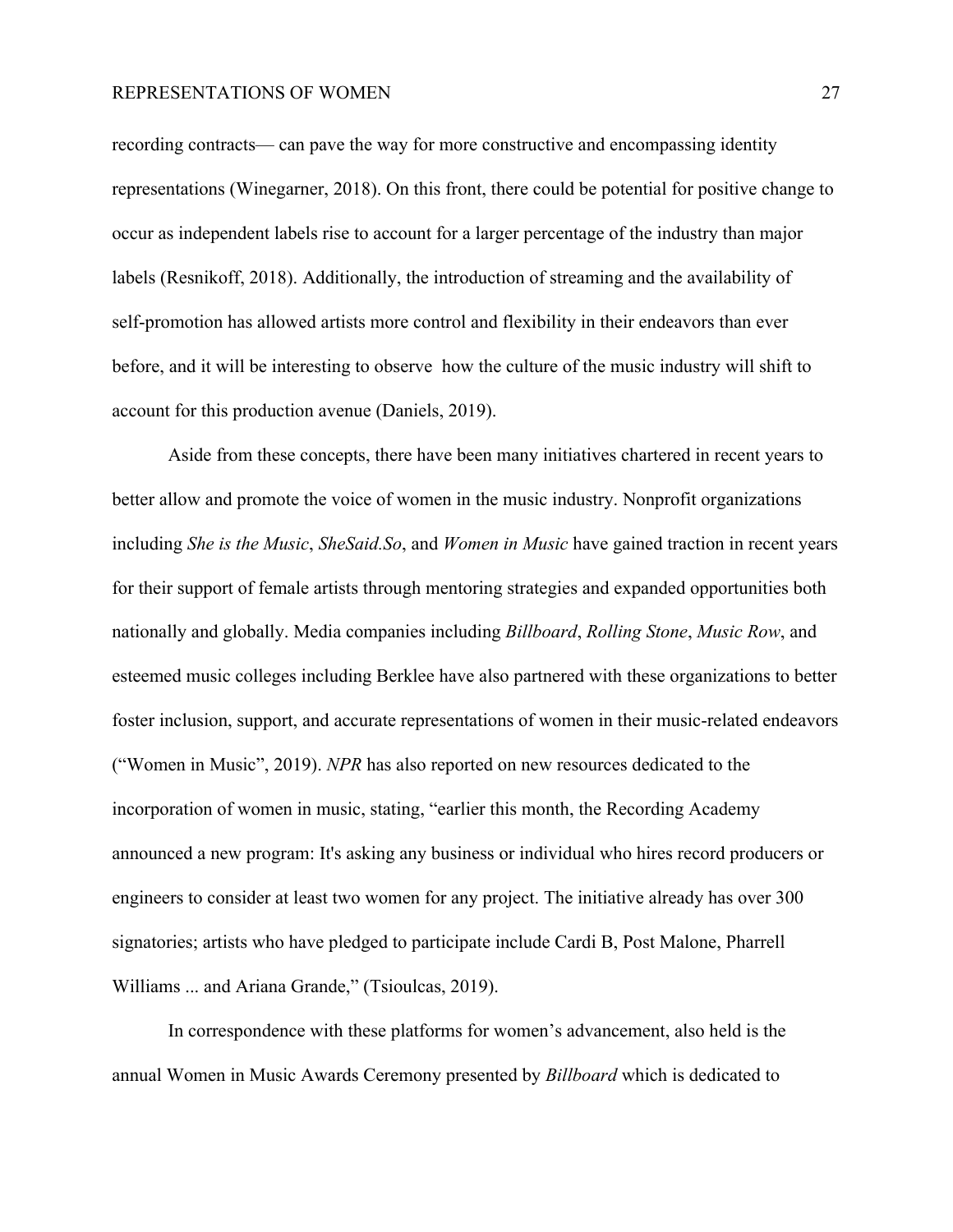recording contracts— can pave the way for more constructive and encompassing identity representations (Winegarner, 2018). On this front, there could be potential for positive change to occur as independent labels rise to account for a larger percentage of the industry than major labels (Resnikoff, 2018). Additionally, the introduction of streaming and the availability of self-promotion has allowed artists more control and flexibility in their endeavors than ever before, and it will be interesting to observe how the culture of the music industry will shift to account for this production avenue (Daniels, 2019).

Aside from these concepts, there have been many initiatives chartered in recent years to better allow and promote the voice of women in the music industry. Nonprofit organizations including *She is the Music*, *SheSaid.So*, and *Women in Music* have gained traction in recent years for their support of female artists through mentoring strategies and expanded opportunities both nationally and globally. Media companies including *Billboard*, *Rolling Stone*, *Music Row*, and esteemed music colleges including Berklee have also partnered with these organizations to better foster inclusion, support, and accurate representations of women in their music-related endeavors ("Women in Music", 2019). *NPR* has also reported on new resources dedicated to the incorporation of women in music, stating, "earlier this month, the Recording Academy announced a new program: It's asking any business or individual who hires record producers or engineers to consider at least two women for any project. The initiative already has over 300 signatories; artists who have pledged to participate include Cardi B, Post Malone, Pharrell Williams ... and Ariana Grande," (Tsioulcas, 2019).

In correspondence with these platforms for women's advancement, also held is the annual Women in Music Awards Ceremony presented by *Billboard* which is dedicated to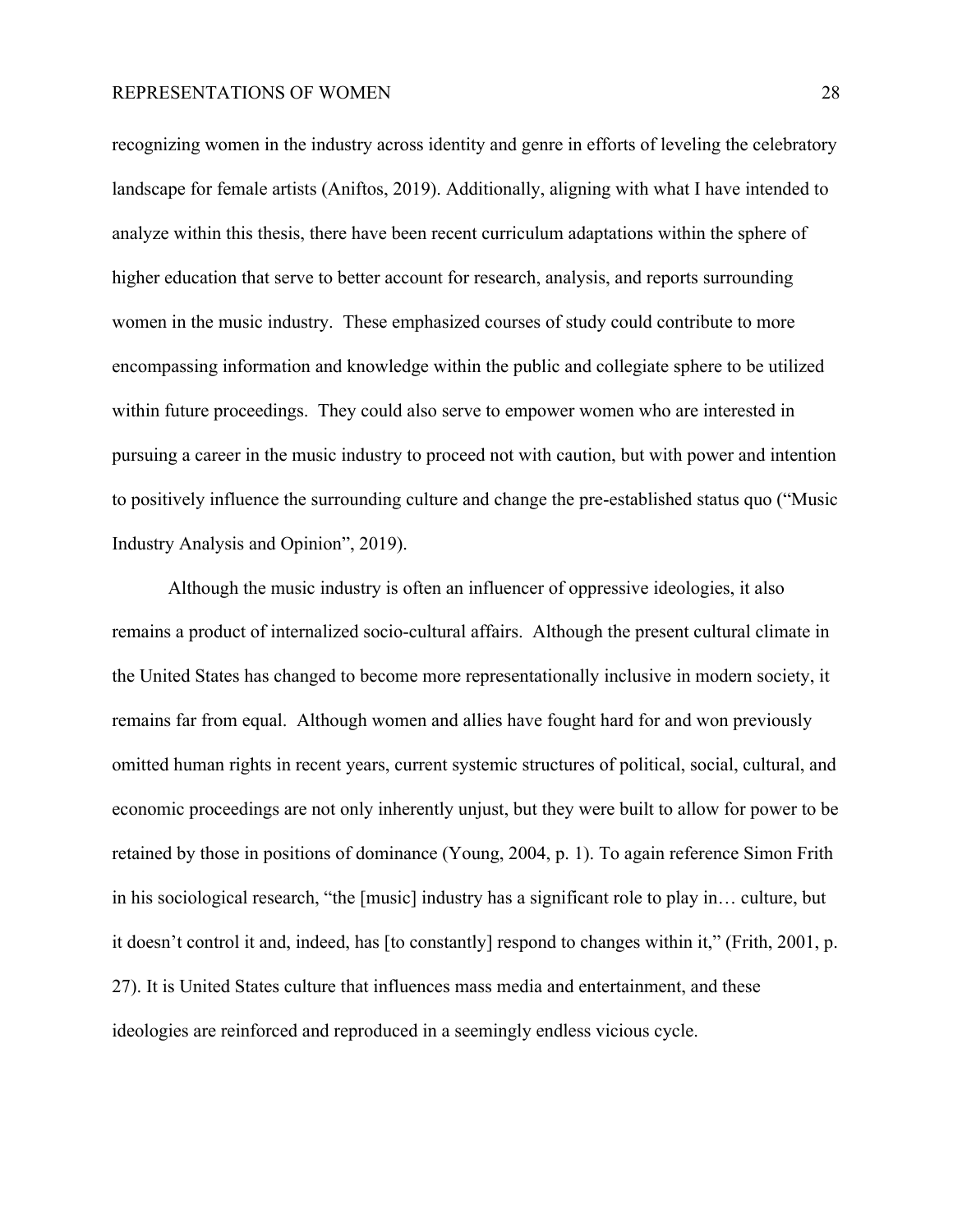recognizing women in the industry across identity and genre in efforts of leveling the celebratory landscape for female artists (Aniftos, 2019). Additionally, aligning with what I have intended to analyze within this thesis, there have been recent curriculum adaptations within the sphere of higher education that serve to better account for research, analysis, and reports surrounding women in the music industry. These emphasized courses of study could contribute to more encompassing information and knowledge within the public and collegiate sphere to be utilized within future proceedings. They could also serve to empower women who are interested in pursuing a career in the music industry to proceed not with caution, but with power and intention to positively influence the surrounding culture and change the pre-established status quo ("Music Industry Analysis and Opinion", 2019).

Although the music industry is often an influencer of oppressive ideologies, it also remains a product of internalized socio-cultural affairs. Although the present cultural climate in the United States has changed to become more representationally inclusive in modern society, it remains far from equal. Although women and allies have fought hard for and won previously omitted human rights in recent years, current systemic structures of political, social, cultural, and economic proceedings are not only inherently unjust, but they were built to allow for power to be retained by those in positions of dominance (Young, 2004, p. 1). To again reference Simon Frith in his sociological research, "the [music] industry has a significant role to play in… culture, but it doesn't control it and, indeed, has [to constantly] respond to changes within it," (Frith, 2001, p. 27). It is United States culture that influences mass media and entertainment, and these ideologies are reinforced and reproduced in a seemingly endless vicious cycle.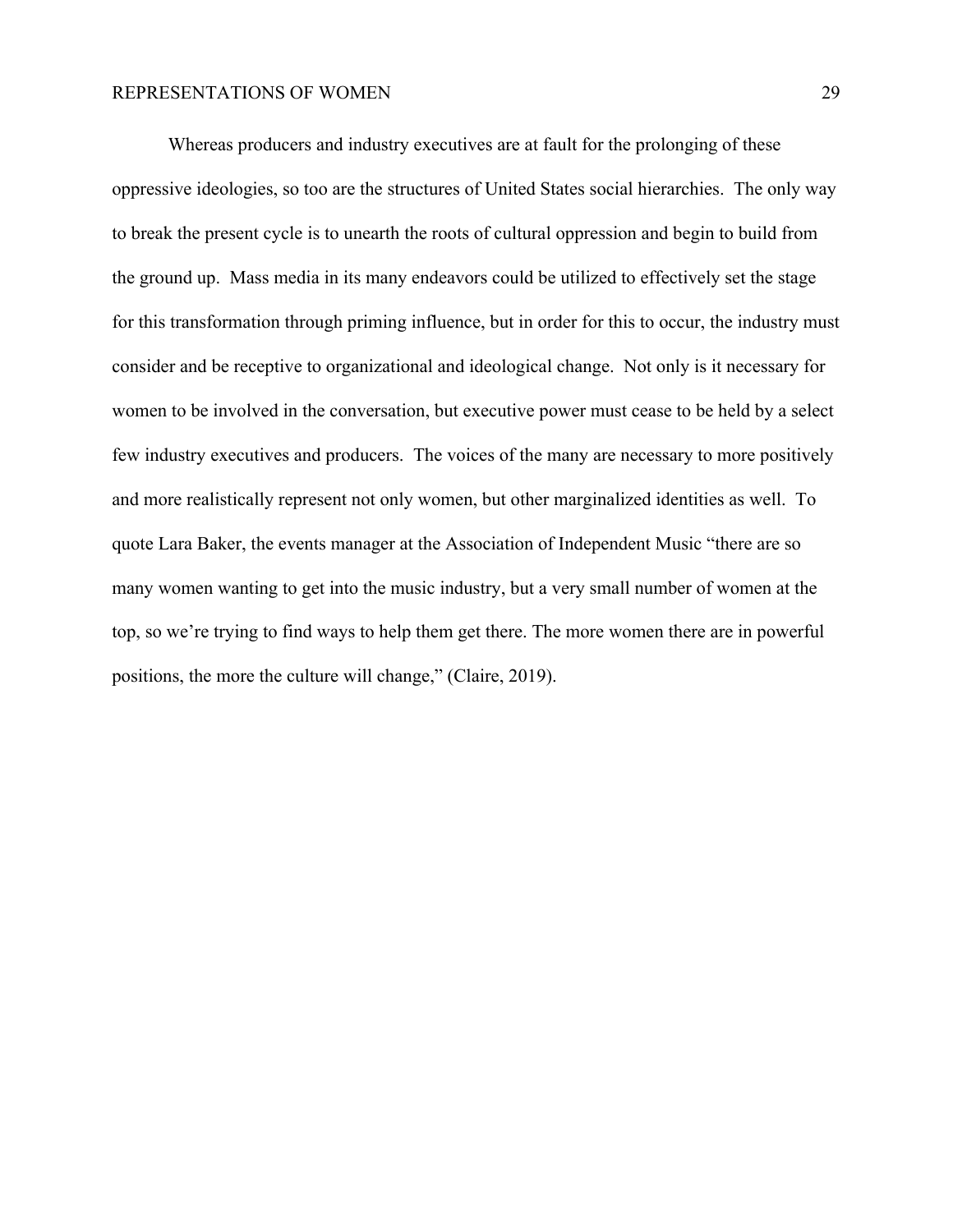Whereas producers and industry executives are at fault for the prolonging of these oppressive ideologies, so too are the structures of United States social hierarchies. The only way to break the present cycle is to unearth the roots of cultural oppression and begin to build from the ground up. Mass media in its many endeavors could be utilized to effectively set the stage for this transformation through priming influence, but in order for this to occur, the industry must consider and be receptive to organizational and ideological change. Not only is it necessary for women to be involved in the conversation, but executive power must cease to be held by a select few industry executives and producers. The voices of the many are necessary to more positively and more realistically represent not only women, but other marginalized identities as well. To quote Lara Baker, the events manager at the Association of Independent Music "there are so many women wanting to get into the music industry, but a very small number of women at the top, so we're trying to find ways to help them get there. The more women there are in powerful positions, the more the culture will change," (Claire, 2019).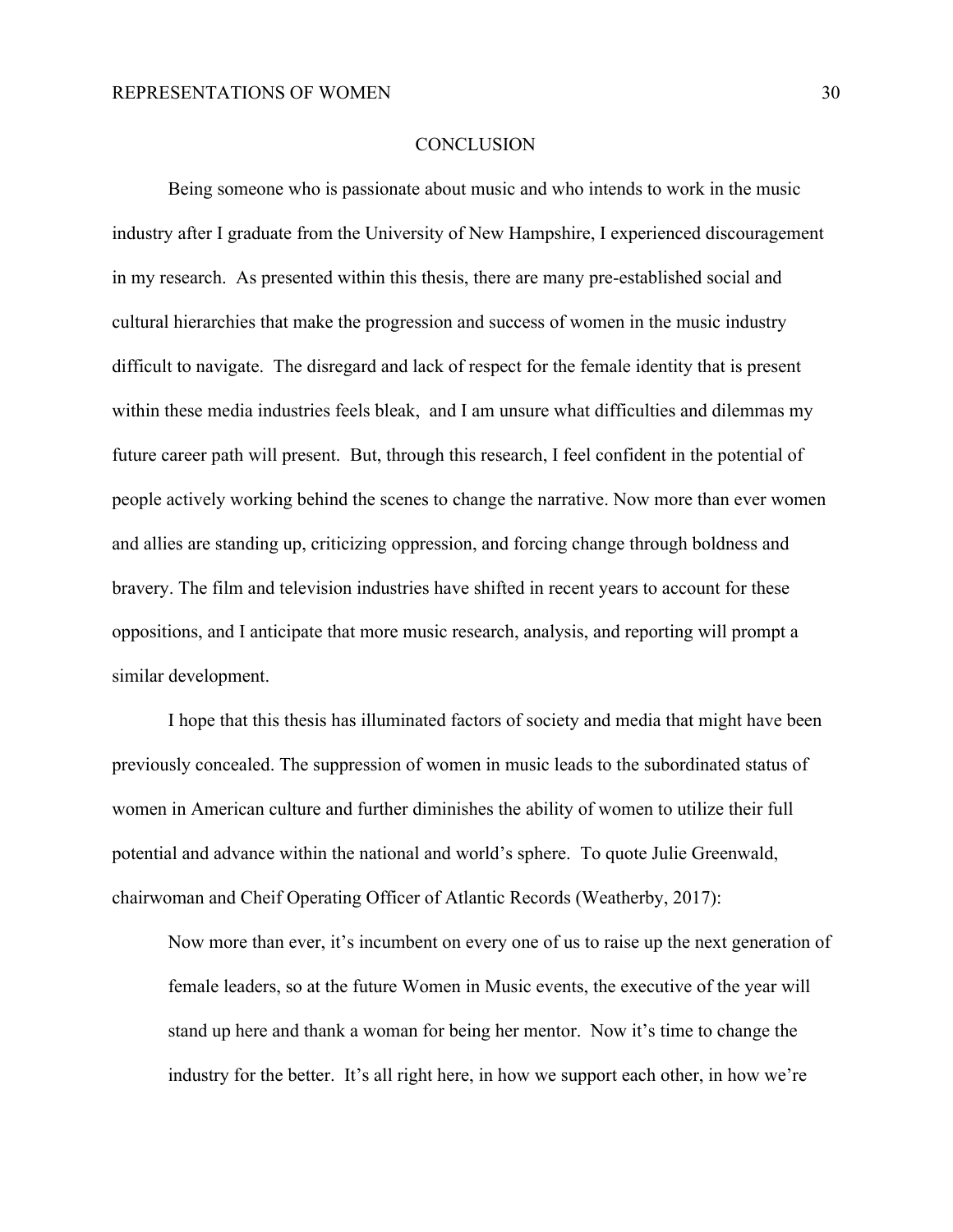#### **CONCLUSION**

Being someone who is passionate about music and who intends to work in the music industry after I graduate from the University of New Hampshire, I experienced discouragement in my research. As presented within this thesis, there are many pre-established social and cultural hierarchies that make the progression and success of women in the music industry difficult to navigate. The disregard and lack of respect for the female identity that is present within these media industries feels bleak, and I am unsure what difficulties and dilemmas my future career path will present. But, through this research, I feel confident in the potential of people actively working behind the scenes to change the narrative. Now more than ever women and allies are standing up, criticizing oppression, and forcing change through boldness and bravery. The film and television industries have shifted in recent years to account for these oppositions, and I anticipate that more music research, analysis, and reporting will prompt a similar development.

I hope that this thesis has illuminated factors of society and media that might have been previously concealed. The suppression of women in music leads to the subordinated status of women in American culture and further diminishes the ability of women to utilize their full potential and advance within the national and world's sphere. To quote Julie Greenwald, chairwoman and Cheif Operating Officer of Atlantic Records (Weatherby, 2017):

Now more than ever, it's incumbent on every one of us to raise up the next generation of female leaders, so at the future Women in Music events, the executive of the year will stand up here and thank a woman for being her mentor. Now it's time to change the industry for the better. It's all right here, in how we support each other, in how we're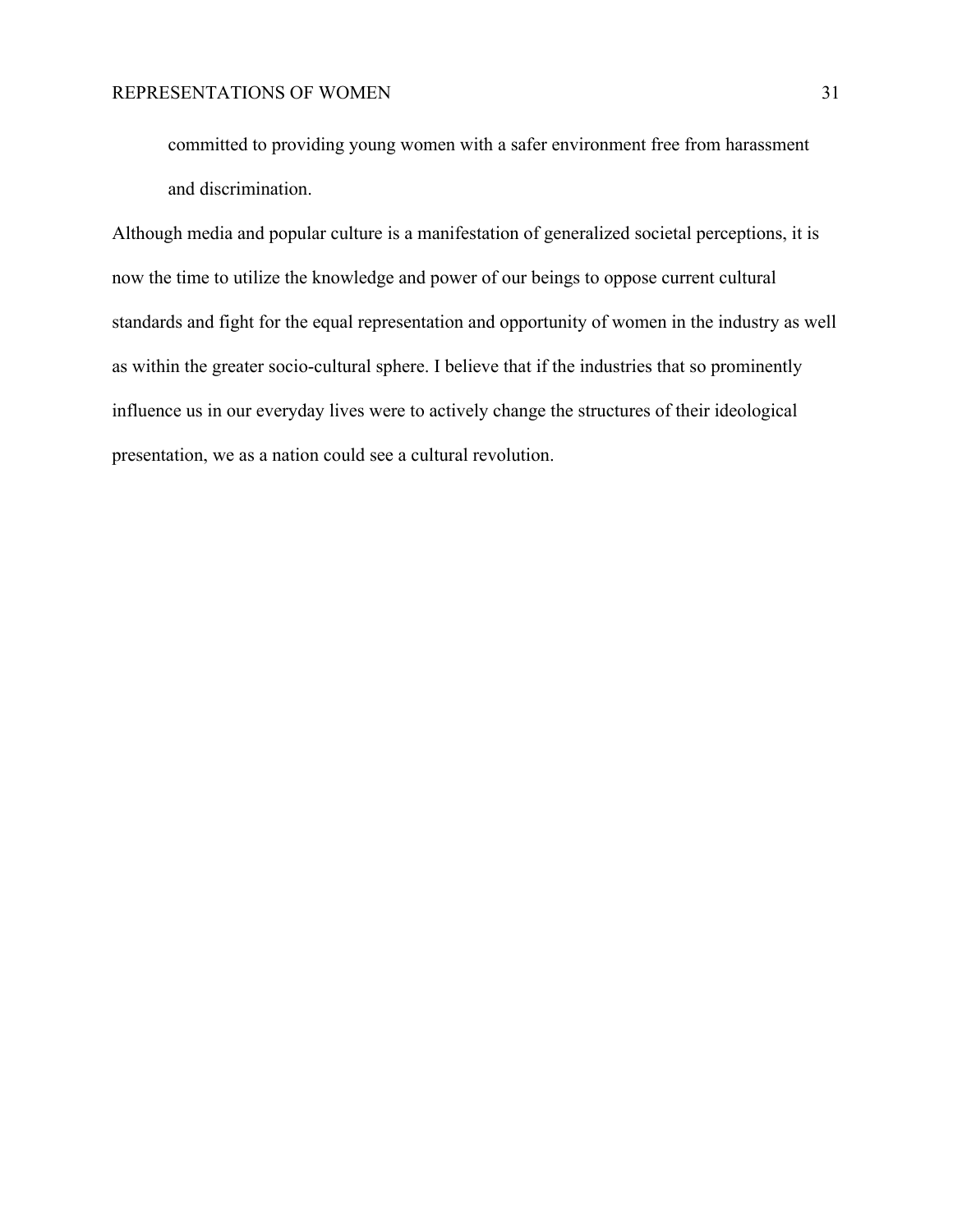committed to providing young women with a safer environment free from harassment and discrimination.

Although media and popular culture is a manifestation of generalized societal perceptions, it is now the time to utilize the knowledge and power of our beings to oppose current cultural standards and fight for the equal representation and opportunity of women in the industry as well as within the greater socio-cultural sphere. I believe that if the industries that so prominently influence us in our everyday lives were to actively change the structures of their ideological presentation, we as a nation could see a cultural revolution.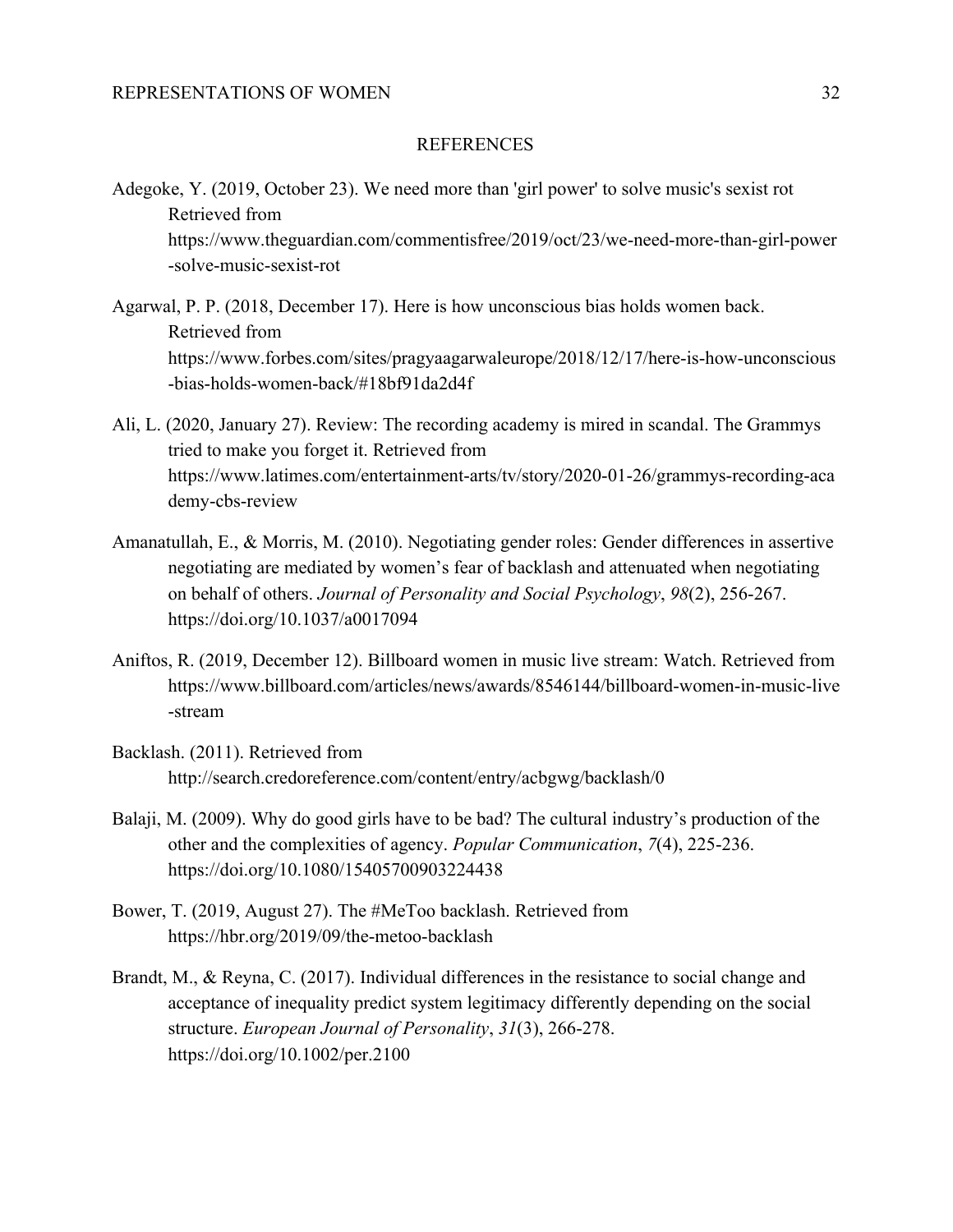## REFERENCES

- Adegoke, Y. (2019, October 23). We need more than 'girl power' to solve music's sexist rot Retrieved from https://www.theguardian.com/commentisfree/2019/oct/23/we-need-more-than-girl-power -solve-music-sexist-rot
- Agarwal, P. P. (2018, December 17). Here is how unconscious bias holds women back. Retrieved from https://www.forbes.com/sites/pragyaagarwaleurope/2018/12/17/here-is-how-unconscious -bias-holds-women-back/#18bf91da2d4f
- Ali, L. (2020, January 27). Review: The recording academy is mired in scandal. The Grammys tried to make you forget it. Retrieved from https://www.latimes.com/entertainment-arts/tv/story/2020-01-26/grammys-recording-aca demy-cbs-review
- Amanatullah, E., & Morris, M. (2010). Negotiating gender roles: Gender differences in assertive negotiating are mediated by women's fear of backlash and attenuated when negotiating on behalf of others. *Journal of Personality and Social Psychology*, *98*(2), 256-267. https://doi.org/10.1037/a0017094
- Aniftos, R. (2019, December 12). Billboard women in music live stream: Watch. Retrieved from https://www.billboard.com/articles/news/awards/8546144/billboard-women-in-music-live -stream
- Backlash. (2011). Retrieved from http://search.credoreference.com/content/entry/acbgwg/backlash/0
- Balaji, M. (2009). Why do good girls have to be bad? The cultural industry's production of the other and the complexities of agency. *Popular Communication*, *7*(4), 225-236. https://doi.org/10.1080/15405700903224438
- Bower, T. (2019, August 27). The #MeToo backlash. Retrieved from https://hbr.org/2019/09/the-metoo-backlash
- Brandt, M., & Reyna, C. (2017). Individual differences in the resistance to social change and acceptance of inequality predict system legitimacy differently depending on the social structure. *European Journal of Personality*, *31*(3), 266-278. https://doi.org/10.1002/per.2100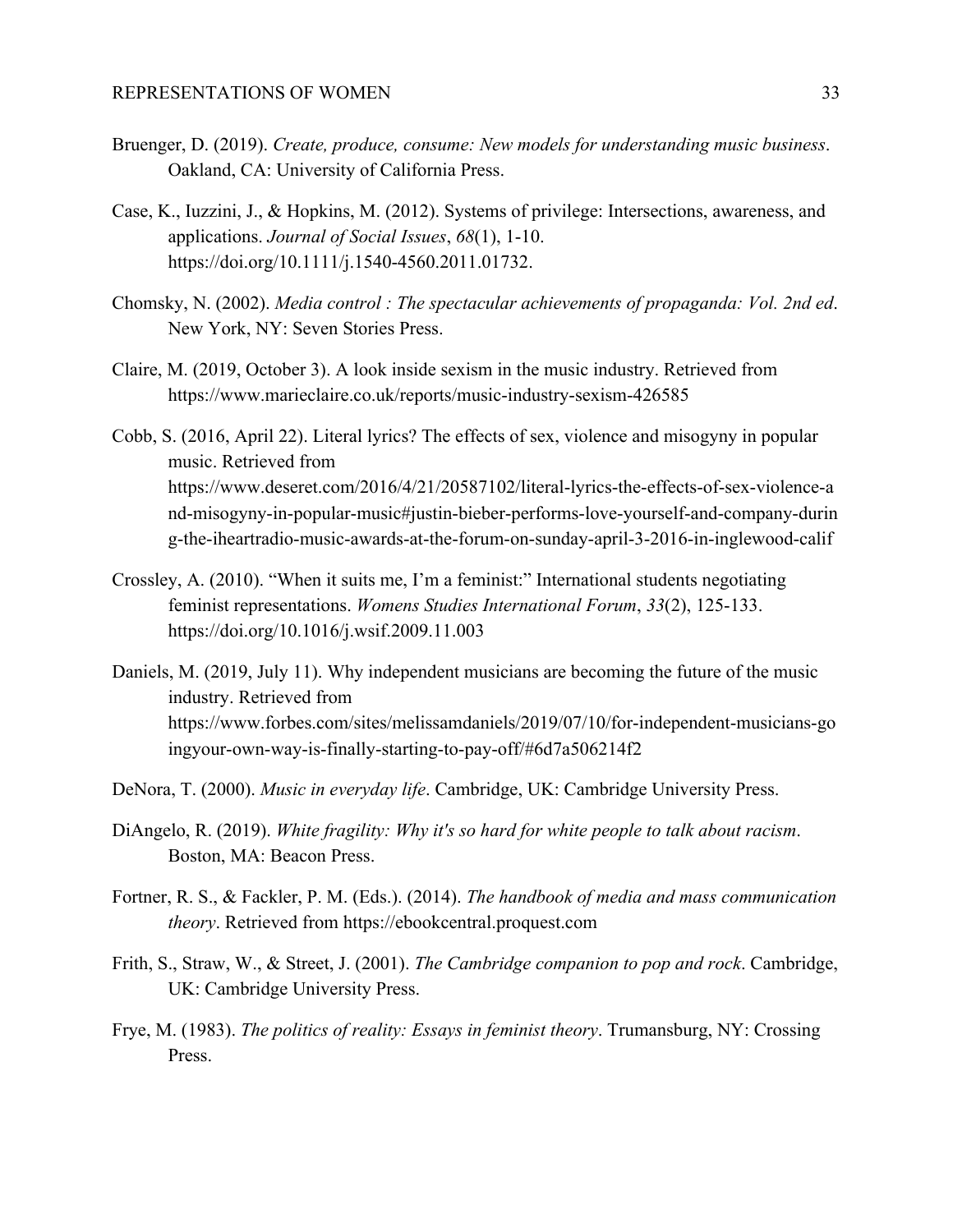- Bruenger, D. (2019). *Create, produce, consume: New models for understanding music business*. Oakland, CA: University of California Press.
- Case, K., Iuzzini, J., & Hopkins, M. (2012). Systems of privilege: Intersections, awareness, and applications. *Journal of Social Issues*, *68*(1), 1-10. https://doi.org/10.1111/j.1540-4560.2011.01732.
- Chomsky, N. (2002). *Media control : The spectacular achievements of propaganda: Vol. 2nd ed*. New York, NY: Seven Stories Press.
- Claire, M. (2019, October 3). A look inside sexism in the music industry. Retrieved from https://www.marieclaire.co.uk/reports/music-industry-sexism-426585
- Cobb, S. (2016, April 22). Literal lyrics? The effects of sex, violence and misogyny in popular music. Retrieved from https://www.deseret.com/2016/4/21/20587102/literal-lyrics-the-effects-of-sex-violence-a nd-misogyny-in-popular-music#justin-bieber-performs-love-yourself-and-company-durin g-the-iheartradio-music-awards-at-the-forum-on-sunday-april-3-2016-in-inglewood-calif
- Crossley, A. (2010). "When it suits me, I'm a feminist:" International students negotiating feminist representations. *Womens Studies International Forum*, *33*(2), 125-133. https://doi.org/10.1016/j.wsif.2009.11.003
- Daniels, M. (2019, July 11). Why independent musicians are becoming the future of the music industry. Retrieved from https://www.forbes.com/sites/melissamdaniels/2019/07/10/for-independent-musicians-go ingyour-own-way-is-finally-starting-to-pay-off/#6d7a506214f2
- DeNora, T. (2000). *Music in everyday life*. Cambridge, UK: Cambridge University Press.
- DiAngelo, R. (2019). *White fragility: Why it's so hard for white people to talk about racism*. Boston, MA: Beacon Press.
- Fortner, R. S., & Fackler, P. M. (Eds.). (2014). *The handbook of media and mass communication theory*. Retrieved from https://ebookcentral.proquest.com
- Frith, S., Straw, W., & Street, J. (2001). *The Cambridge companion to pop and rock*. Cambridge, UK: Cambridge University Press.
- Frye, M. (1983). *The politics of reality: Essays in feminist theory*. Trumansburg, NY: Crossing Press.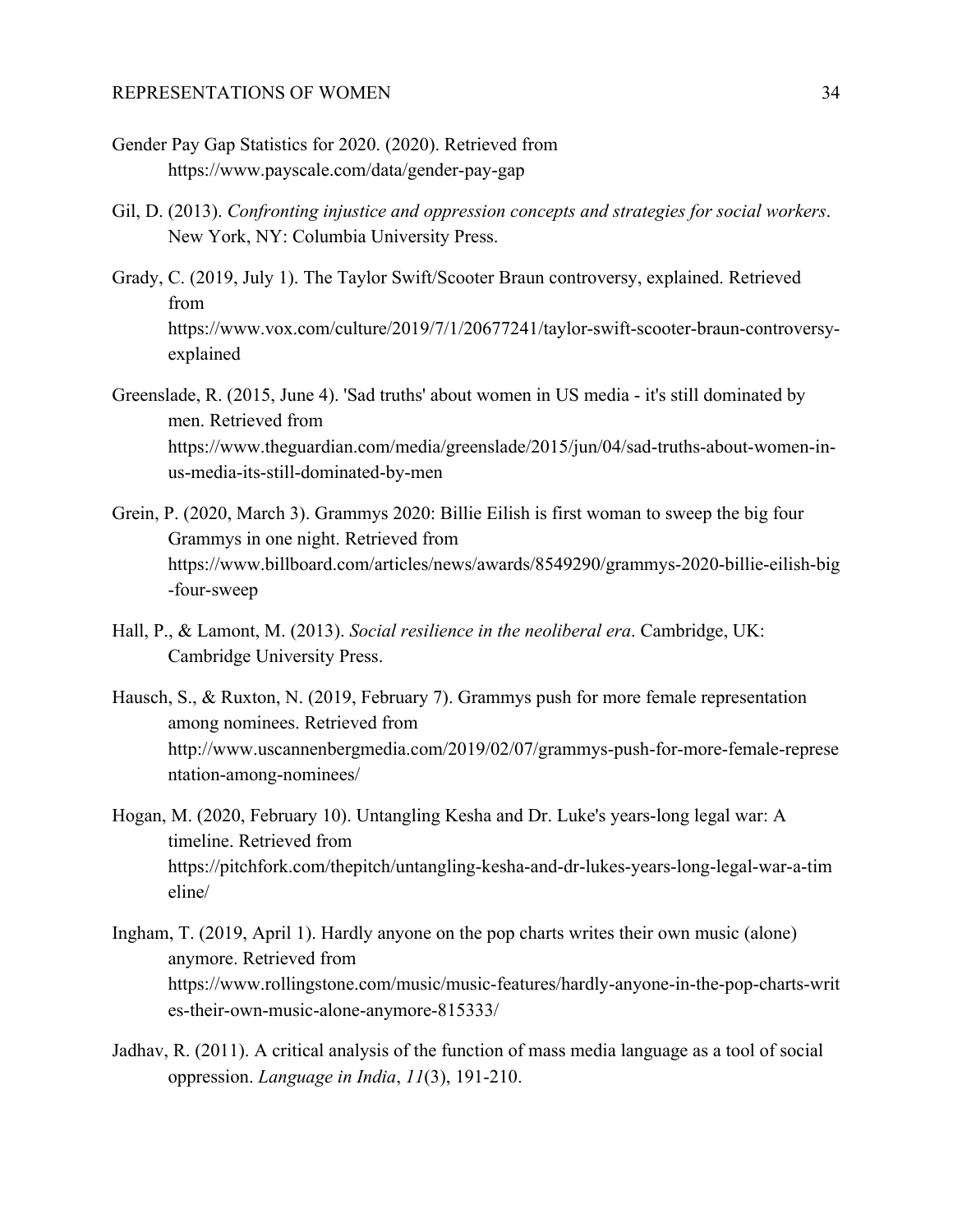- Gender Pay Gap Statistics for 2020. (2020). Retrieved from https://www.payscale.com/data/gender-pay-gap
- Gil, D. (2013). *Confronting injustice and oppression concepts and strategies for social workers*. New York, NY: Columbia University Press.
- Grady, C. (2019, July 1). The Taylor Swift/Scooter Braun controversy, explained. Retrieved from https://www.vox.com/culture/2019/7/1/20677241/taylor-swift-scooter-braun-controversyexplained
- Greenslade, R. (2015, June 4). 'Sad truths' about women in US media it's still dominated by men. Retrieved from https://www.theguardian.com/media/greenslade/2015/jun/04/sad-truths-about-women-inus-media-its-still-dominated-by-men
- Grein, P. (2020, March 3). Grammys 2020: Billie Eilish is first woman to sweep the big four Grammys in one night. Retrieved from https://www.billboard.com/articles/news/awards/8549290/grammys-2020-billie-eilish-big -four-sweep
- Hall, P., & Lamont, M. (2013). *Social resilience in the neoliberal era*. Cambridge, UK: Cambridge University Press.
- Hausch, S., & Ruxton, N. (2019, February 7). Grammys push for more female representation among nominees. Retrieved from http://www.uscannenbergmedia.com/2019/02/07/grammys-push-for-more-female-represe ntation-among-nominees/
- Hogan, M. (2020, February 10). Untangling Kesha and Dr. Luke's years-long legal war: A timeline. Retrieved from https://pitchfork.com/thepitch/untangling-kesha-and-dr-lukes-years-long-legal-war-a-tim eline/
- Ingham, T. (2019, April 1). Hardly anyone on the pop charts writes their own music (alone) anymore. Retrieved from https://www.rollingstone.com/music/music-features/hardly-anyone-in-the-pop-charts-writ es-their-own-music-alone-anymore-815333/
- Jadhav, R. (2011). A critical analysis of the function of mass media language as a tool of social oppression. *Language in India*, *11*(3), 191-210.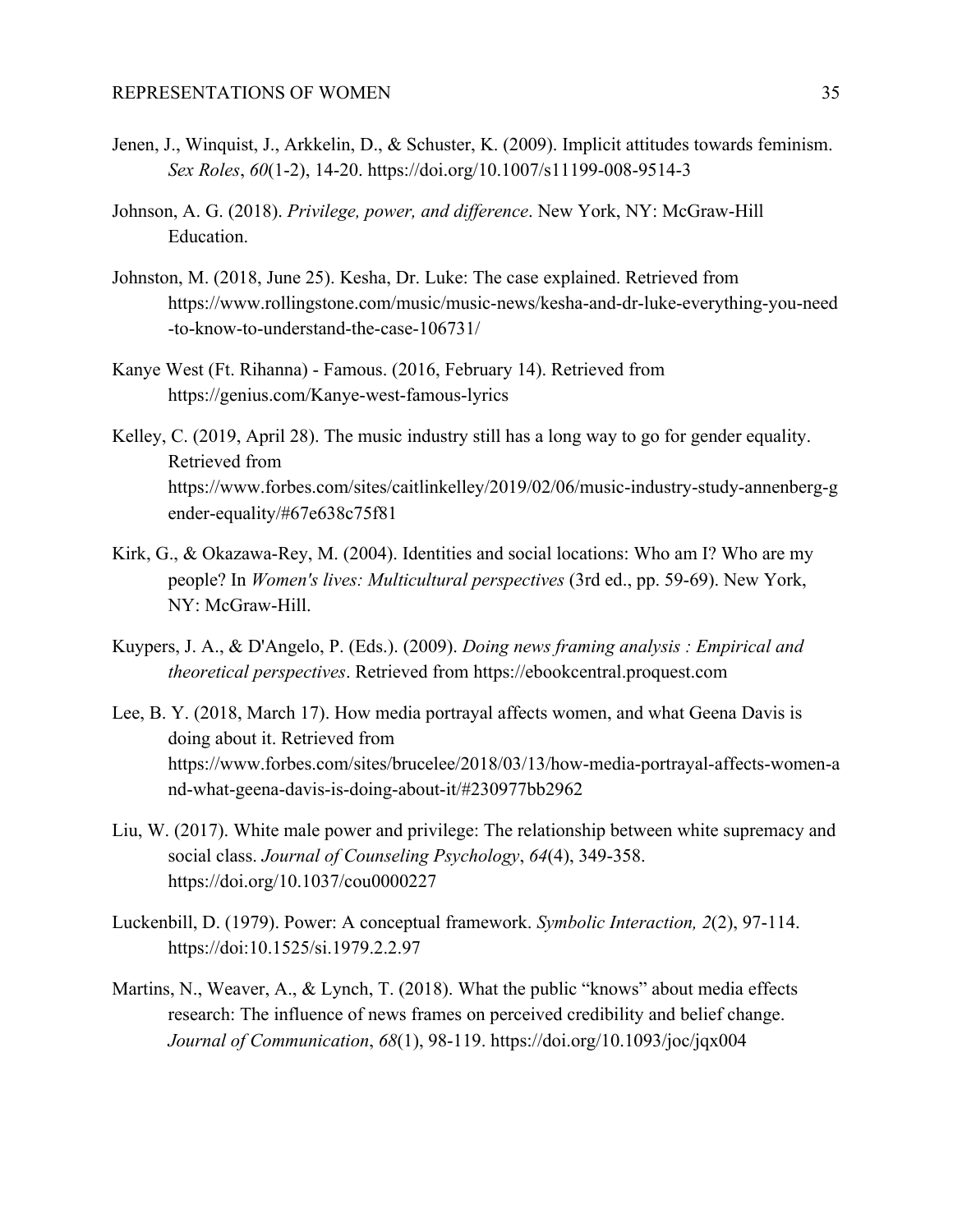- Jenen, J., Winquist, J., Arkkelin, D., & Schuster, K. (2009). Implicit attitudes towards feminism. *Sex Roles*, *60*(1-2), 14-20. https://doi.org/10.1007/s11199-008-9514-3
- Johnson, A. G. (2018). *Privilege, power, and difference*. New York, NY: McGraw-Hill Education.
- Johnston, M. (2018, June 25). Kesha, Dr. Luke: The case explained. Retrieved from https://www.rollingstone.com/music/music-news/kesha-and-dr-luke-everything-you-need -to-know-to-understand-the-case-106731/
- Kanye West (Ft. Rihanna) Famous. (2016, February 14). Retrieved from https://genius.com/Kanye-west-famous-lyrics
- Kelley, C. (2019, April 28). The music industry still has a long way to go for gender equality. Retrieved from https://www.forbes.com/sites/caitlinkelley/2019/02/06/music-industry-study-annenberg-g ender-equality/#67e638c75f81
- Kirk, G., & Okazawa-Rey, M. (2004). Identities and social locations: Who am I? Who are my people? In *Women's lives: Multicultural perspectives* (3rd ed., pp. 59-69). New York, NY: McGraw-Hill.
- Kuypers, J. A., & D'Angelo, P. (Eds.). (2009). *Doing news framing analysis : Empirical and theoretical perspectives*. Retrieved from https://ebookcentral.proquest.com
- Lee, B. Y. (2018, March 17). How media portrayal affects women, and what Geena Davis is doing about it. Retrieved from https://www.forbes.com/sites/brucelee/2018/03/13/how-media-portrayal-affects-women-a nd-what-geena-davis-is-doing-about-it/#230977bb2962
- Liu, W. (2017). White male power and privilege: The relationship between white supremacy and social class. *Journal of Counseling Psychology*, *64*(4), 349-358. https://doi.org/10.1037/cou0000227
- Luckenbill, D. (1979). Power: A conceptual framework. *Symbolic Interaction, 2*(2), 97-114. https://doi:10.1525/si.1979.2.2.97
- Martins, N., Weaver, A., & Lynch, T. (2018). What the public "knows" about media effects research: The influence of news frames on perceived credibility and belief change. *Journal of Communication*, *68*(1), 98-119. https://doi.org/10.1093/joc/jqx004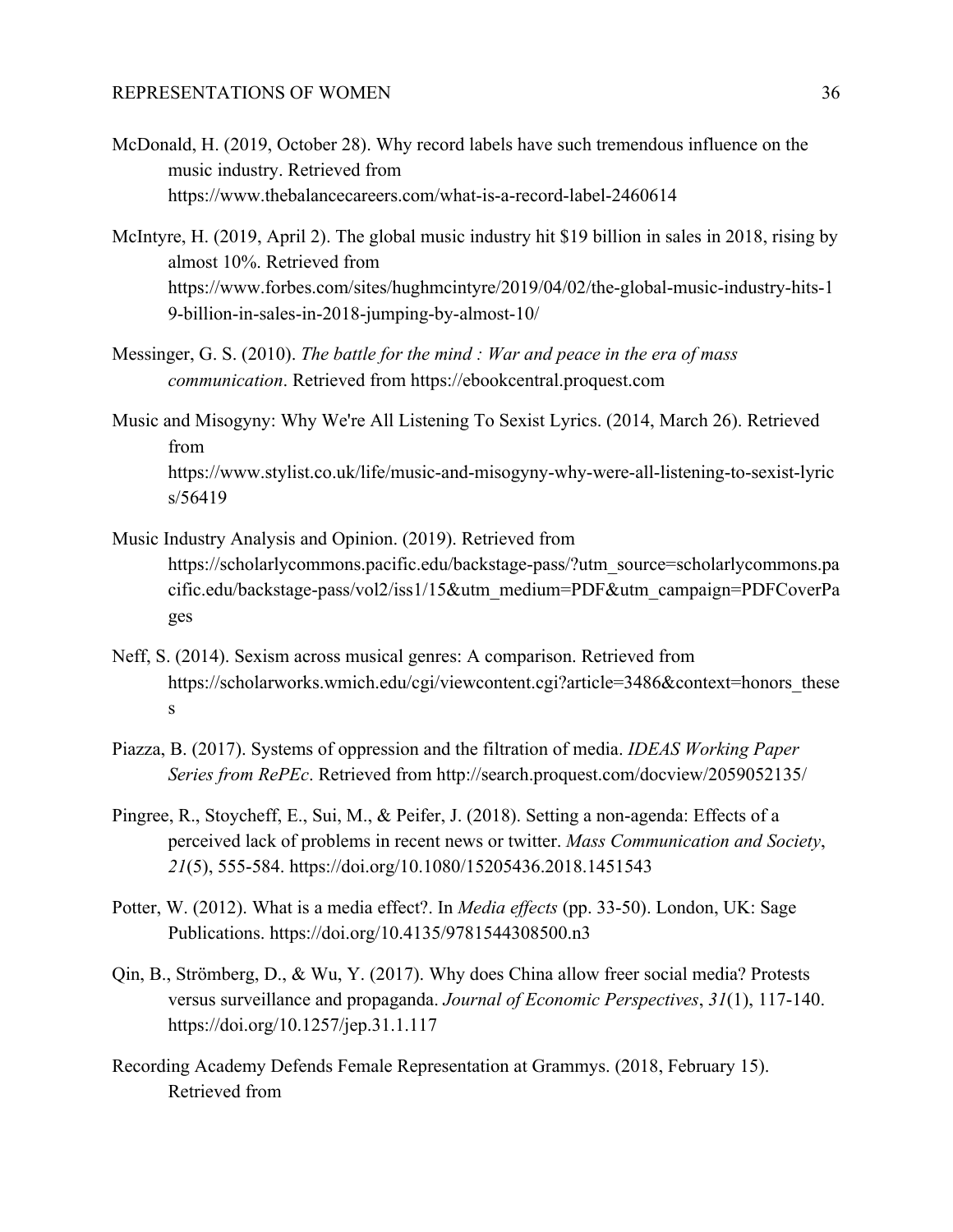- McDonald, H. (2019, October 28). Why record labels have such tremendous influence on the music industry. Retrieved from https://www.thebalancecareers.com/what-is-a-record-label-2460614
- McIntyre, H. (2019, April 2). The global music industry hit \$19 billion in sales in 2018, rising by almost 10%. Retrieved from https://www.forbes.com/sites/hughmcintyre/2019/04/02/the-global-music-industry-hits-1 9-billion-in-sales-in-2018-jumping-by-almost-10/
- Messinger, G. S. (2010). *The battle for the mind : War and peace in the era of mass communication*. Retrieved from https://ebookcentral.proquest.com
- Music and Misogyny: Why We're All Listening To Sexist Lyrics. (2014, March 26). Retrieved from https://www.stylist.co.uk/life/music-and-misogyny-why-were-all-listening-to-sexist-lyric s/56419
- Music Industry Analysis and Opinion. (2019). Retrieved from https://scholarlycommons.pacific.edu/backstage-pass/?utm\_source=scholarlycommons.pa cific.edu/backstage-pass/vol2/iss1/15&utm\_medium=PDF&utm\_campaign=PDFCoverPa ges
- Neff, S. (2014). Sexism across musical genres: A comparison. Retrieved from https://scholarworks.wmich.edu/cgi/viewcontent.cgi?article=3486&context=honors\_these s
- Piazza, B. (2017). Systems of oppression and the filtration of media. *IDEAS Working Paper Series from RePEc*. Retrieved from http://search.proquest.com/docview/2059052135/
- Pingree, R., Stoycheff, E., Sui, M., & Peifer, J. (2018). Setting a non-agenda: Effects of a perceived lack of problems in recent news or twitter. *Mass Communication and Society*, *21*(5), 555-584. https://doi.org/10.1080/15205436.2018.1451543
- Potter, W. (2012). What is a media effect?. In *Media effects* (pp. 33-50). London, UK: Sage Publications. https://doi.org/10.4135/9781544308500.n3
- Qin, B., Strömberg, D., & Wu, Y. (2017). Why does China allow freer social media? Protests versus surveillance and propaganda. *Journal of Economic Perspectives*, *31*(1), 117-140. https://doi.org/10.1257/jep.31.1.117
- Recording Academy Defends Female Representation at Grammys. (2018, February 15). Retrieved from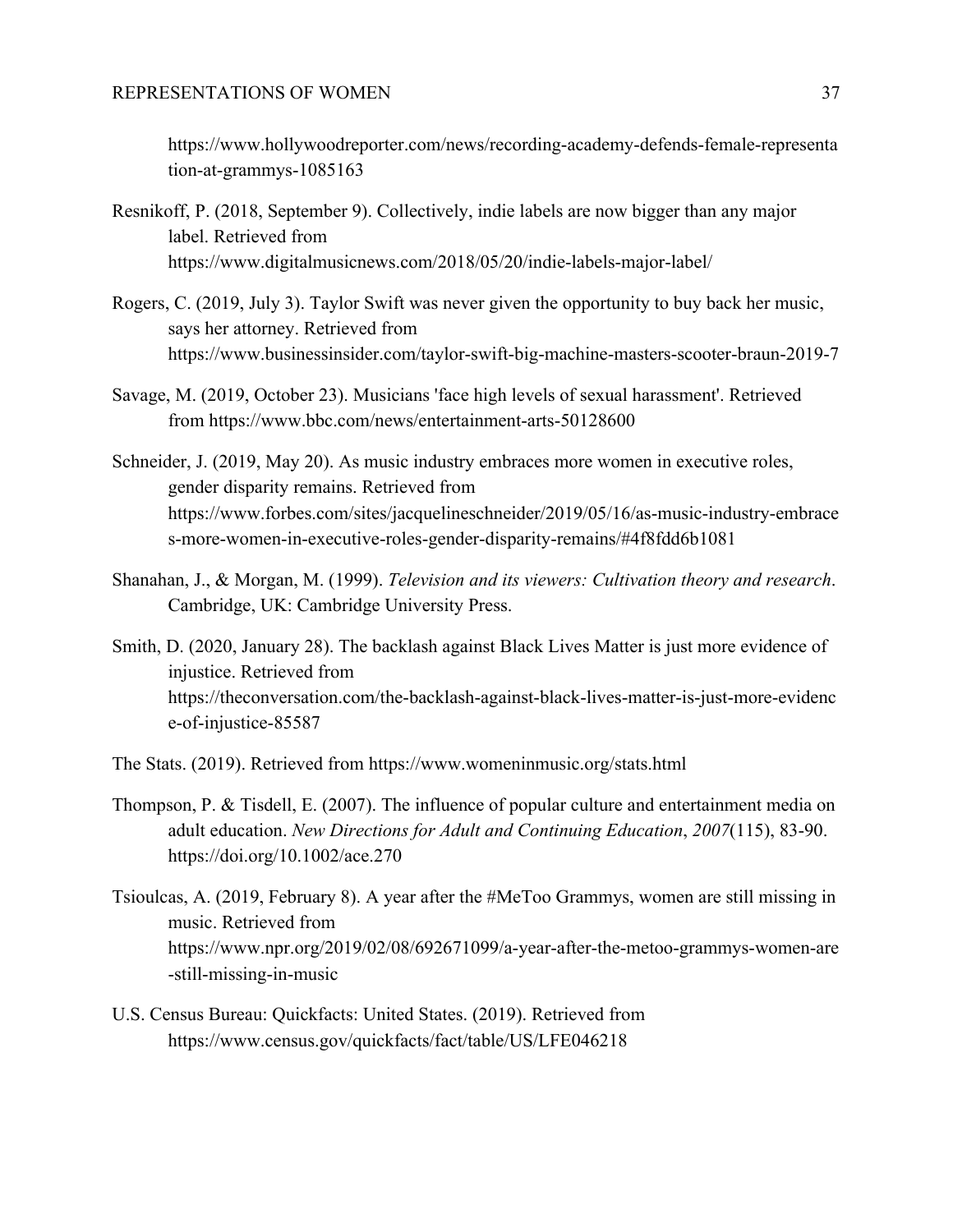https://www.hollywoodreporter.com/news/recording-academy-defends-female-representa tion-at-grammys-1085163

- Resnikoff, P. (2018, September 9). Collectively, indie labels are now bigger than any major label. Retrieved from https://www.digitalmusicnews.com/2018/05/20/indie-labels-major-label/
- Rogers, C. (2019, July 3). Taylor Swift was never given the opportunity to buy back her music, says her attorney. Retrieved from https://www.businessinsider.com/taylor-swift-big-machine-masters-scooter-braun-2019-7
- Savage, M. (2019, October 23). Musicians 'face high levels of sexual harassment'. Retrieved from https://www.bbc.com/news/entertainment-arts-50128600
- Schneider, J. (2019, May 20). As music industry embraces more women in executive roles, gender disparity remains. Retrieved from https://www.forbes.com/sites/jacquelineschneider/2019/05/16/as-music-industry-embrace s-more-women-in-executive-roles-gender-disparity-remains/#4f8fdd6b1081
- Shanahan, J., & Morgan, M. (1999). *Television and its viewers: Cultivation theory and research*. Cambridge, UK: Cambridge University Press.
- Smith, D. (2020, January 28). The backlash against Black Lives Matter is just more evidence of injustice. Retrieved from https://theconversation.com/the-backlash-against-black-lives-matter-is-just-more-evidenc e-of-injustice-85587
- The Stats. (2019). Retrieved from <https://www.womeninmusic.org/stats.html>
- Thompson, P. & Tisdell, E. (2007). The influence of popular culture and entertainment media on adult education. *New Directions for Adult and Continuing Education*, *2007*(115), 83-90. https://doi.org/10.1002/ace.270
- Tsioulcas, A. (2019, February 8). A year after the #MeToo Grammys, women are still missing in music. Retrieved from https://www.npr.org/2019/02/08/692671099/a-year-after-the-metoo-grammys-women-are -still-missing-in-music
- U.S. Census Bureau: Quickfacts: United States. (2019). Retrieved from https://www.census.gov/quickfacts/fact/table/US/LFE046218